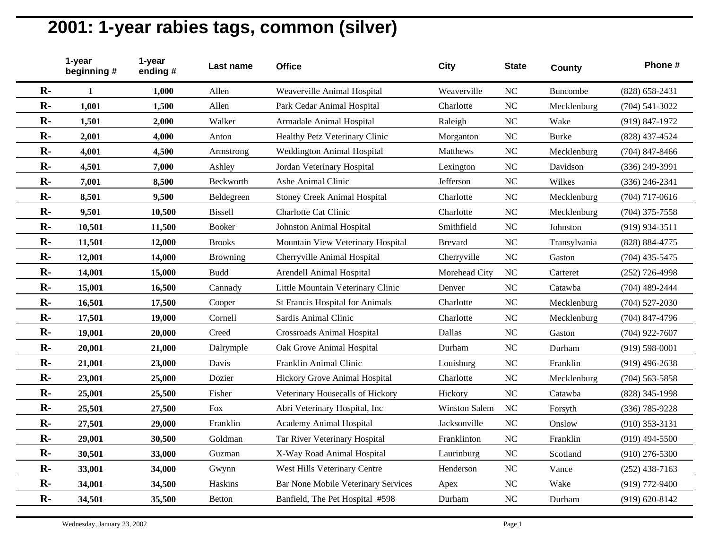|              | 1-year<br>beginning# | 1-year<br>ending# | Last name       | <b>Office</b>                              | City                 | <b>State</b>   | County       | Phone #            |
|--------------|----------------------|-------------------|-----------------|--------------------------------------------|----------------------|----------------|--------------|--------------------|
| $\mathbf{R}$ | $\mathbf{1}$         | 1,000             | Allen           | Weaverville Animal Hospital                | Weaverville          | NC             | Buncombe     | $(828) 658 - 2431$ |
| R-           | 1,001                | 1,500             | Allen           | Park Cedar Animal Hospital                 | Charlotte            | <b>NC</b>      | Mecklenburg  | $(704) 541 - 3022$ |
| $\mathbf{R}$ | 1,501                | 2,000             | Walker          | Armadale Animal Hospital                   | Raleigh              | NC             | Wake         | (919) 847-1972     |
| R-           | 2,001                | 4,000             | Anton           | Healthy Petz Veterinary Clinic             | Morganton            | NC             | <b>Burke</b> | (828) 437-4524     |
| $\mathbf{R}$ | 4,001                | 4,500             | Armstrong       | Weddington Animal Hospital                 | Matthews             | NC             | Mecklenburg  | $(704)$ 847-8466   |
| $R -$        | 4,501                | 7,000             | Ashley          | Jordan Veterinary Hospital                 | Lexington            | NC             | Davidson     | (336) 249-3991     |
| $\mathbf{R}$ | 7,001                | 8,500             | Beckworth       | Ashe Animal Clinic                         | Jefferson            | NC             | Wilkes       | $(336)$ 246-2341   |
| $\mathbf{R}$ | 8,501                | 9,500             | Beldegreen      | <b>Stoney Creek Animal Hospital</b>        | Charlotte            | NC             | Mecklenburg  | $(704)$ 717-0616   |
| R-           | 9,501                | 10,500            | <b>Bissell</b>  | <b>Charlotte Cat Clinic</b>                | Charlotte            | N <sub>C</sub> | Mecklenburg  | $(704)$ 375-7558   |
| R-           | 10,501               | 11,500            | <b>Booker</b>   | Johnston Animal Hospital                   | Smithfield           | NC             | Johnston     | (919) 934-3511     |
| $R -$        | 11,501               | 12,000            | <b>Brooks</b>   | Mountain View Veterinary Hospital          | <b>Brevard</b>       | NC             | Transylvania | (828) 884-4775     |
| $\mathbf{R}$ | 12,001               | 14,000            | <b>Browning</b> | Cherryville Animal Hospital                | Cherryville          | NC             | Gaston       | $(704)$ 435-5475   |
| $R -$        | 14,001               | 15,000            | <b>Budd</b>     | Arendell Animal Hospital                   | Morehead City        | NC             | Carteret     | $(252)$ 726-4998   |
| R-           | 15,001               | 16,500            | Cannady         | Little Mountain Veterinary Clinic          | Denver               | NC             | Catawba      | $(704)$ 489-2444   |
| R-           | 16,501               | 17,500            | Cooper          | St Francis Hospital for Animals            | Charlotte            | NC             | Mecklenburg  | $(704)$ 527-2030   |
| $R -$        | 17,501               | 19,000            | Cornell         | Sardis Animal Clinic                       | Charlotte            | NC             | Mecklenburg  | $(704)$ 847-4796   |
| $R -$        | 19,001               | 20,000            | Creed           | <b>Crossroads Animal Hospital</b>          | Dallas               | NC             | Gaston       | $(704)$ 922-7607   |
| R-           | 20,001               | 21,000            | Dalrymple       | Oak Grove Animal Hospital                  | Durham               | NC             | Durham       | $(919) 598 - 0001$ |
| $R -$        | 21,001               | 23,000            | Davis           | Franklin Animal Clinic                     | Louisburg            | NC             | Franklin     | $(919)$ 496-2638   |
| $\mathbf{R}$ | 23,001               | 25,000            | Dozier          | Hickory Grove Animal Hospital              | Charlotte            | NC             | Mecklenburg  | $(704)$ 563-5858   |
| $R -$        | 25,001               | 25,500            | Fisher          | Veterinary Housecalls of Hickory           | Hickory              | NC             | Catawba      | (828) 345-1998     |
| $\mathbf{R}$ | 25,501               | 27,500            | <b>Fox</b>      | Abri Veterinary Hospital, Inc              | <b>Winston Salem</b> | NC             | Forsyth      | (336) 785-9228     |
| $R -$        | 27,501               | 29,000            | Franklin        | Academy Animal Hospital                    | Jacksonville         | NC             | Onslow       | $(910)$ 353-3131   |
| R-           | 29,001               | 30,500            | Goldman         | Tar River Veterinary Hospital              | Franklinton          | NC             | Franklin     | $(919)$ 494-5500   |
| R-           | 30,501               | 33,000            | Guzman          | X-Way Road Animal Hospital                 | Laurinburg           | NC             | Scotland     | $(910)$ 276-5300   |
| $\mathbf{R}$ | 33,001               | 34,000            | Gwynn           | West Hills Veterinary Centre               | Henderson            | NC             | Vance        | $(252)$ 438-7163   |
| R-           | 34,001               | 34,500            | Haskins         | <b>Bar None Mobile Veterinary Services</b> | Apex                 | NC             | Wake         | (919) 772-9400     |
| $\mathbf{R}$ | 34,501               | 35,500            | Betton          | Banfield, The Pet Hospital #598            | Durham               | NC             | Durham       | $(919) 620 - 8142$ |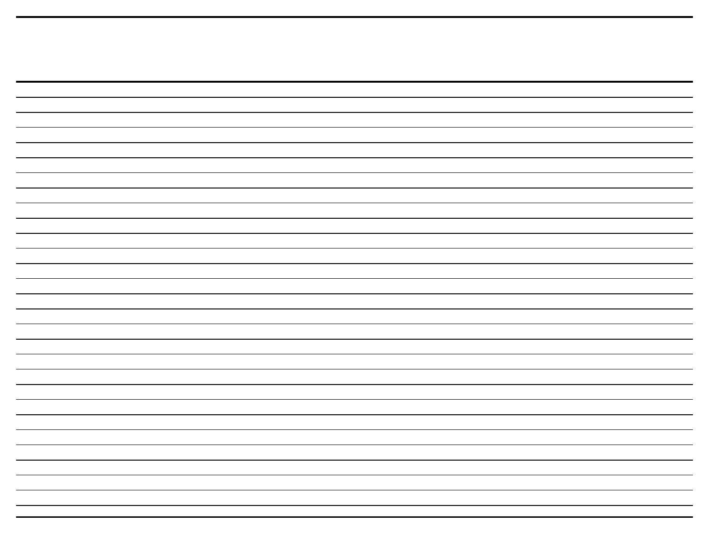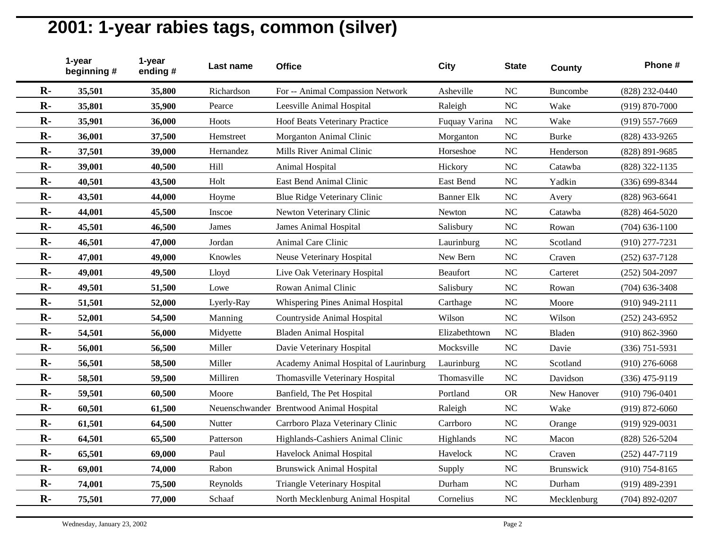|              | 1-year<br>beginning# | 1-year<br>ending# | Last name     | <b>Office</b>                            | <b>City</b>       | <b>State</b> | County           | Phone #            |
|--------------|----------------------|-------------------|---------------|------------------------------------------|-------------------|--------------|------------------|--------------------|
| $\mathbf{R}$ | 35,501               | 35,800            | Richardson    | For -- Animal Compassion Network         | Asheville         | NC           | Buncombe         | (828) 232-0440     |
| $\mathbf{R}$ | 35,801               | 35,900            | Pearce        | Leesville Animal Hospital                | Raleigh           | NC           | Wake             | $(919) 870 - 7000$ |
| $\mathbf{R}$ | 35,901               | 36,000            | Hoots         | Hoof Beats Veterinary Practice           | Fuquay Varina     | NC           | Wake             | $(919) 557 - 7669$ |
| $\mathbf{R}$ | 36,001               | 37,500            | Hemstreet     | Morganton Animal Clinic                  | Morganton         | NC           | <b>Burke</b>     | (828) 433-9265     |
| $\mathbf{R}$ | 37,501               | 39,000            | Hernandez     | Mills River Animal Clinic                | Horseshoe         | NC           | Henderson        | (828) 891-9685     |
| $\mathbf{R}$ | 39,001               | 40,500            | Hill          | Animal Hospital                          | Hickory           | NC           | Catawba          | (828) 322-1135     |
| $\mathbf{R}$ | 40,501               | 43,500            | Holt          | East Bend Animal Clinic                  | East Bend         | NC           | Yadkin           | $(336) 699 - 8344$ |
| $\mathbf{R}$ | 43,501               | 44,000            | Hoyme         | Blue Ridge Veterinary Clinic             | <b>Banner Elk</b> | NC           | Avery            | $(828)$ 963-6641   |
| $\mathbf{R}$ | 44,001               | 45,500            | Inscoe        | Newton Veterinary Clinic                 | Newton            | NC           | Catawba          | $(828)$ 464-5020   |
| $\mathbf{R}$ | 45,501               | 46,500            | James         | <b>James Animal Hospital</b>             | Salisbury         | NC           | Rowan            | $(704)$ 636-1100   |
| $R -$        | 46,501               | 47,000            | Jordan        | Animal Care Clinic                       | Laurinburg        | NC           | Scotland         | $(910)$ 277-7231   |
| $\mathbf{R}$ | 47,001               | 49,000            | Knowles       | Neuse Veterinary Hospital                | New Bern          | <b>NC</b>    | Craven           | $(252)$ 637-7128   |
| $\mathbf{R}$ | 49,001               | 49,500            | Lloyd         | Live Oak Veterinary Hospital             | Beaufort          | NC           | Carteret         | $(252) 504 - 2097$ |
| $\mathbf{R}$ | 49,501               | 51,500            | Lowe          | Rowan Animal Clinic                      | Salisbury         | NC           | Rowan            | $(704)$ 636-3408   |
| $R -$        | 51,501               | 52,000            | Lyerly-Ray    | Whispering Pines Animal Hospital         | Carthage          | NC           | Moore            | $(910)$ 949-2111   |
| $\mathbf{R}$ | 52,001               | 54,500            | Manning       | Countryside Animal Hospital              | Wilson            | NC           | Wilson           | $(252)$ 243-6952   |
| $\mathbf{R}$ | 54,501               | 56,000            | Midyette      | <b>Bladen Animal Hospital</b>            | Elizabethtown     | NC           | Bladen           | $(910) 862 - 3960$ |
| $R -$        | 56,001               | 56,500            | Miller        | Davie Veterinary Hospital                | Mocksville        | NC           | Davie            | $(336)$ 751-5931   |
| $R -$        | 56,501               | 58,500            | Miller        | Academy Animal Hospital of Laurinburg    | Laurinburg        | NC           | Scotland         | $(910)$ 276-6068   |
| $\mathbf{R}$ | 58,501               | 59,500            | Milliren      | Thomasville Veterinary Hospital          | Thomasville       | NC           | Davidson         | $(336)$ 475-9119   |
| $\mathbf{R}$ | 59,501               | 60,500            | Moore         | Banfield, The Pet Hospital               | Portland          | <b>OR</b>    | New Hanover      | $(910)$ 796-0401   |
| $\mathbf{R}$ | 60,501               | 61,500            |               | Neuenschwander Brentwood Animal Hospital | Raleigh           | NC           | Wake             | $(919) 872 - 6060$ |
| $R -$        | 61,501               | 64,500            | <b>Nutter</b> | Carrboro Plaza Veterinary Clinic         | Carrboro          | NC           | Orange           | $(919)$ 929-0031   |
| $\mathbf{R}$ | 64,501               | 65,500            | Patterson     | Highlands-Cashiers Animal Clinic         | Highlands         | NC           | Macon            | (828) 526-5204     |
| $\mathbf{R}$ | 65,501               | 69,000            | Paul          | Havelock Animal Hospital                 | Havelock          | NC           | Craven           | $(252)$ 447-7119   |
| $\mathbf{R}$ | 69,001               | 74,000            | Rabon         | <b>Brunswick Animal Hospital</b>         | Supply            | NC           | <b>Brunswick</b> | $(910)$ 754-8165   |
| $\mathbf{R}$ | 74,001               | 75,500            | Reynolds      | <b>Triangle Veterinary Hospital</b>      | Durham            | NC           | Durham           | $(919)$ 489-2391   |
| $\mathbf{R}$ | 75,501               | 77,000            | Schaaf        | North Mecklenburg Animal Hospital        | Cornelius         | NC           | Mecklenburg      | $(704)$ 892-0207   |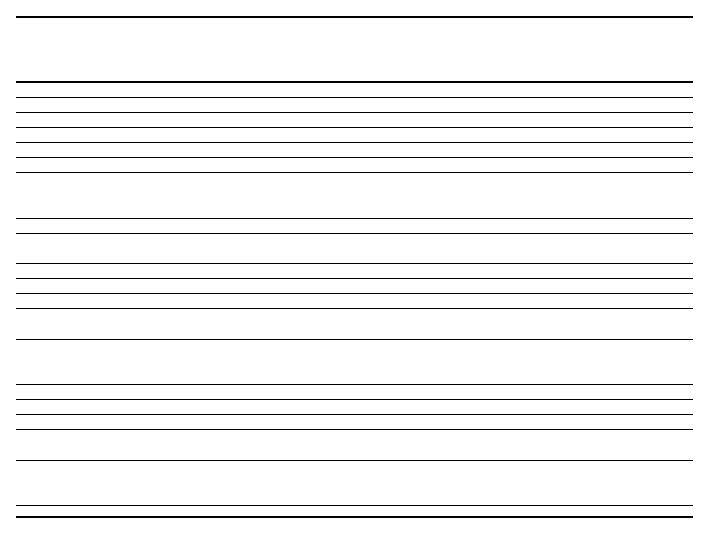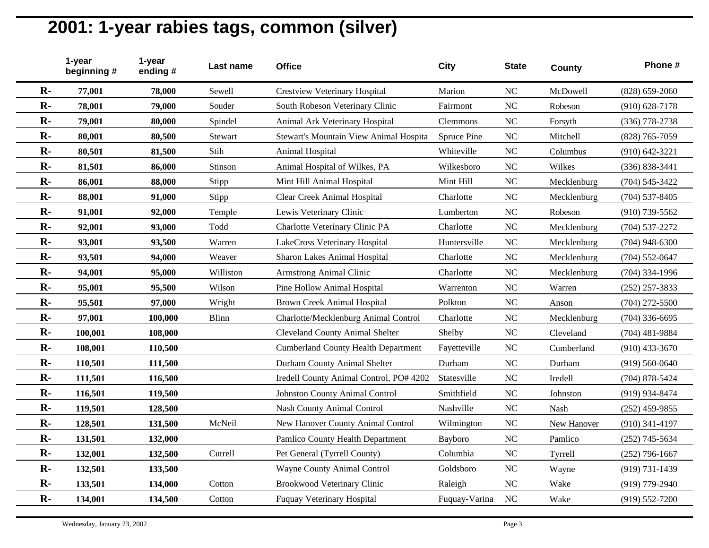|                | 1-year<br>beginning# | 1-year<br>ending# | Last name | <b>Office</b>                              | City          | <b>State</b> | County      | Phone #            |
|----------------|----------------------|-------------------|-----------|--------------------------------------------|---------------|--------------|-------------|--------------------|
| $\mathbf{R}$   | 77,001               | 78,000            | Sewell    | <b>Crestview Veterinary Hospital</b>       | Marion        | NC           | McDowell    | $(828) 659 - 2060$ |
| $\mathbf{R}$   | 78,001               | 79,000            | Souder    | South Robeson Veterinary Clinic            | Fairmont      | NC           | Robeson     | $(910) 628 - 7178$ |
| $\mathbf{R}$   | 79,001               | 80,000            | Spindel   | Animal Ark Veterinary Hospital             | Clemmons      | NC           | Forsyth     | $(336)$ 778-2738   |
| $\mathbf{R}$   | 80,001               | 80,500            | Stewart   | Stewart's Mountain View Animal Hospita     | Spruce Pine   | NC           | Mitchell    | (828) 765-7059     |
| $\mathbf{R}$   | 80,501               | 81,500            | Stih      | Animal Hospital                            | Whiteville    | NC           | Columbus    | $(910) 642 - 3221$ |
| $\mathbf{R}$   | 81,501               | 86,000            | Stinson   | Animal Hospital of Wilkes, PA              | Wilkesboro    | NC           | Wilkes      | $(336) 838 - 3441$ |
| $\mathbf{R}$   | 86,001               | 88,000            | Stipp     | Mint Hill Animal Hospital                  | Mint Hill     | NC           | Mecklenburg | $(704) 545 - 3422$ |
| $\mathbf{R}$   | 88,001               | 91,000            | Stipp     | <b>Clear Creek Animal Hospital</b>         | Charlotte     | NC           | Mecklenburg | $(704)$ 537-8405   |
| $\mathbf{R}$   | 91,001               | 92,000            | Temple    | Lewis Veterinary Clinic                    | Lumberton     | NC           | Robeson     | $(910)$ 739-5562   |
| $\mathbf{R}$   | 92,001               | 93,000            | Todd      | Charlotte Veterinary Clinic PA             | Charlotte     | NC           | Mecklenburg | $(704)$ 537-2272   |
| $R -$          | 93,001               | 93,500            | Warren    | LakeCross Veterinary Hospital              | Huntersville  | NC           | Mecklenburg | $(704)$ 948-6300   |
| $\mathbf{R}$   | 93,501               | 94,000            | Weaver    | <b>Sharon Lakes Animal Hospital</b>        | Charlotte     | NC           | Mecklenburg | $(704) 552 - 0647$ |
| $R -$          | 94,001               | 95,000            | Williston | Armstrong Animal Clinic                    | Charlotte     | NC           | Mecklenburg | $(704)$ 334-1996   |
| $\mathbf{R}$   | 95,001               | 95,500            | Wilson    | Pine Hollow Animal Hospital                | Warrenton     | NC           | Warren      | $(252)$ 257-3833   |
| $\mathbf{R}$   | 95,501               | 97,000            | Wright    | <b>Brown Creek Animal Hospital</b>         | Polkton       | NC           | Anson       | $(704)$ 272-5500   |
| $\mathbf{R}$   | 97,001               | 100,000           | Blinn     | Charlotte/Mecklenburg Animal Control       | Charlotte     | <b>NC</b>    | Mecklenburg | $(704)$ 336-6695   |
| $R -$          | 100,001              | 108,000           |           | <b>Cleveland County Animal Shelter</b>     | Shelby        | NC           | Cleveland   | $(704)$ 481-9884   |
| $\mathbf{R}$   | 108,001              | 110,500           |           | <b>Cumberland County Health Department</b> | Fayetteville  | <b>NC</b>    | Cumberland  | $(910)$ 433-3670   |
| $\mathbf{R}$   | 110,501              | 111,500           |           | Durham County Animal Shelter               | Durham        | NC           | Durham      | $(919) 560 - 0640$ |
| $\mathbf{R}$   | 111,501              | 116,500           |           | Iredell County Animal Control, PO# 4202    | Statesville   | <b>NC</b>    | Iredell     | $(704)$ 878-5424   |
| $R -$          | 116,501              | 119,500           |           | <b>Johnston County Animal Control</b>      | Smithfield    | NC           | Johnston    | (919) 934-8474     |
| $\mathbf{R}$   | 119,501              | 128,500           |           | <b>Nash County Animal Control</b>          | Nashville     | <b>NC</b>    | Nash        | $(252)$ 459-9855   |
| $R -$          | 128,501              | 131,500           | McNeil    | New Hanover County Animal Control          | Wilmington    | <b>NC</b>    | New Hanover | $(910)$ 341-4197   |
| $\mathbf{R}$   | 131,501              | 132,000           |           | Pamlico County Health Department           | Bayboro       | NC           | Pamlico     | $(252)$ 745-5634   |
| $\mathbf{R}$   | 132,001              | 132,500           | Cutrell   | Pet General (Tyrrell County)               | Columbia      | NC           | Tyrrell     | $(252)$ 796-1667   |
| $R -$          | 132,501              | 133,500           |           | Wayne County Animal Control                | Goldsboro     | NC           | Wayne       | (919) 731-1439     |
| $\mathbf{R}$   | 133,501              | 134,000           | Cotton    | Brookwood Veterinary Clinic                | Raleigh       | NC           | Wake        | (919) 779-2940     |
| $\mathbf{R}$ - | 134,001              | 134,500           | Cotton    | Fuquay Veterinary Hospital                 | Fuquay-Varina | NC           | Wake        | $(919) 552 - 7200$ |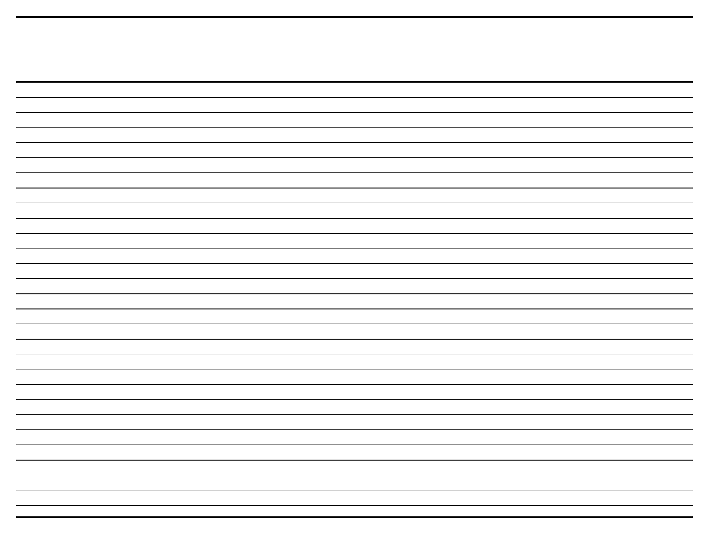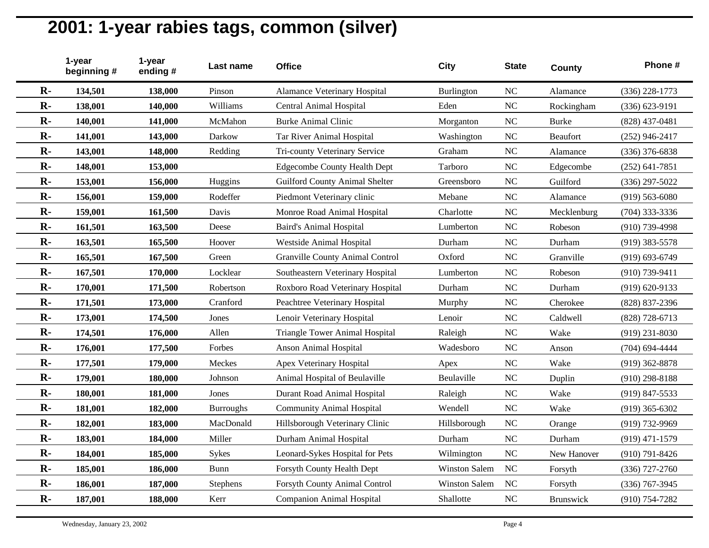|                | 1-year<br>beginning# | 1-year<br>ending# | Last name        | <b>Office</b>                          | <b>City</b>   | <b>State</b> | County           | Phone #            |
|----------------|----------------------|-------------------|------------------|----------------------------------------|---------------|--------------|------------------|--------------------|
| $\mathbf{R}$   | 134,501              | 138,000           | Pinson           | Alamance Veterinary Hospital           | Burlington    | NC           | Alamance         | $(336)$ 228-1773   |
| $\mathbf{R}$ - | 138,001              | 140,000           | Williams         | <b>Central Animal Hospital</b>         | Eden          | NC           | Rockingham       | $(336) 623 - 9191$ |
| $\mathbf{R}$   | 140,001              | 141,000           | McMahon          | <b>Burke Animal Clinic</b>             | Morganton     | NC           | <b>Burke</b>     | $(828)$ 437-0481   |
| $\mathbf{R}$   | 141,001              | 143,000           | Darkow           | Tar River Animal Hospital              | Washington    | NC           | Beaufort         | $(252)$ 946-2417   |
| $\mathbf{R}$   | 143,001              | 148,000           | Redding          | Tri-county Veterinary Service          | Graham        | <b>NC</b>    | Alamance         | $(336)$ 376-6838   |
| $\mathbf{R}$   | 148,001              | 153,000           |                  | <b>Edgecombe County Health Dept</b>    | Tarboro       | <b>NC</b>    | Edgecombe        | $(252)$ 641-7851   |
| $R$            | 153,001              | 156,000           | Huggins          | <b>Guilford County Animal Shelter</b>  | Greensboro    | <b>NC</b>    | Guilford         | $(336)$ 297-5022   |
| $\mathbf{R}$ - | 156,001              | 159,000           | Rodeffer         | Piedmont Veterinary clinic             | Mebane        | NC           | Alamance         | $(919) 563 - 6080$ |
| $\mathbf{R}$   | 159,001              | 161,500           | Davis            | Monroe Road Animal Hospital            | Charlotte     | <b>NC</b>    | Mecklenburg      | $(704)$ 333-3336   |
| $R -$          | 161,501              | 163,500           | Deese            | <b>Baird's Animal Hospital</b>         | Lumberton     | <b>NC</b>    | Robeson          | $(910)$ 739-4998   |
| $R -$          | 163,501              | 165,500           | Hoover           | Westside Animal Hospital               | Durham        | <b>NC</b>    | Durham           | $(919)$ 383-5578   |
| $\mathbf{R}$   | 165,501              | 167,500           | Green            | <b>Granville County Animal Control</b> | Oxford        | <b>NC</b>    | Granville        | $(919) 693 - 6749$ |
| $\mathbf{R}$   | 167,501              | 170,000           | Locklear         | Southeastern Veterinary Hospital       | Lumberton     | NC           | Robeson          | (910) 739-9411     |
| $\mathbf{R}$   | 170,001              | 171,500           | Robertson        | Roxboro Road Veterinary Hospital       | Durham        | NC           | Durham           | $(919) 620 - 9133$ |
| $R -$          | 171,501              | 173,000           | Cranford         | Peachtree Veterinary Hospital          | Murphy        | <b>NC</b>    | Cherokee         | (828) 837-2396     |
| $\mathbf{R}$   | 173,001              | 174,500           | Jones            | Lenoir Veterinary Hospital             | Lenoir        | <b>NC</b>    | Caldwell         | $(828)$ 728-6713   |
| $\mathbf{R}$ - | 174,501              | 176,000           | Allen            | <b>Triangle Tower Animal Hospital</b>  | Raleigh       | <b>NC</b>    | Wake             | $(919)$ 231-8030   |
| $\mathbf{R}$   | 176,001              | 177,500           | Forbes           | <b>Anson Animal Hospital</b>           | Wadesboro     | NC           | Anson            | $(704)$ 694-4444   |
| $R -$          | 177,501              | 179,000           | Meckes           | Apex Veterinary Hospital               | Apex          | <b>NC</b>    | Wake             | $(919)$ 362-8878   |
| $\mathbf{R}$   | 179,001              | 180,000           | Johnson          | Animal Hospital of Beulaville          | Beulaville    | <b>NC</b>    | Duplin           | $(910)$ 298-8188   |
| $\mathbf{R}$   | 180,001              | 181,000           | Jones            | Durant Road Animal Hospital            | Raleigh       | NC           | Wake             | (919) 847-5533     |
| $\mathbf{R}$   | 181,001              | 182,000           | <b>Burroughs</b> | <b>Community Animal Hospital</b>       | Wendell       | <b>NC</b>    | Wake             | $(919)$ 365-6302   |
| $\mathbf{R}$ - | 182,001              | 183,000           | MacDonald        | Hillsborough Veterinary Clinic         | Hillsborough  | <b>NC</b>    | Orange           | (919) 732-9969     |
| $\mathbf{R}$   | 183,001              | 184,000           | Miller           | Durham Animal Hospital                 | Durham        | <b>NC</b>    | Durham           | $(919)$ 471-1579   |
| $\mathbf{R}$ - | 184,001              | 185,000           | <b>Sykes</b>     | Leonard-Sykes Hospital for Pets        | Wilmington    | <b>NC</b>    | New Hanover      | $(910) 791 - 8426$ |
| $\mathbf{R}$   | 185,001              | 186,000           | <b>Bunn</b>      | Forsyth County Health Dept             | Winston Salem | NC           | Forsyth          | (336) 727-2760     |
| $\mathbf{R}$   | 186,001              | 187,000           | Stephens         | Forsyth County Animal Control          | Winston Salem | NC           | Forsyth          | (336) 767-3945     |
| $\mathbf{R}$   | 187,001              | 188,000           | Kerr             | <b>Companion Animal Hospital</b>       | Shallotte     | <b>NC</b>    | <b>Brunswick</b> | $(910)$ 754-7282   |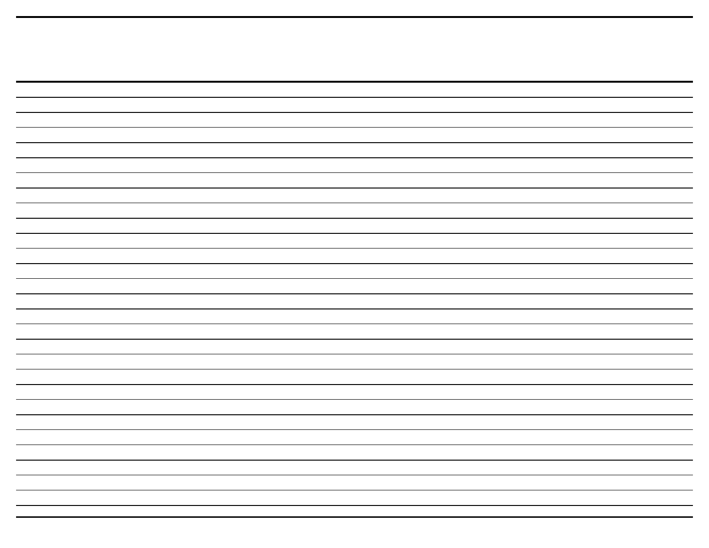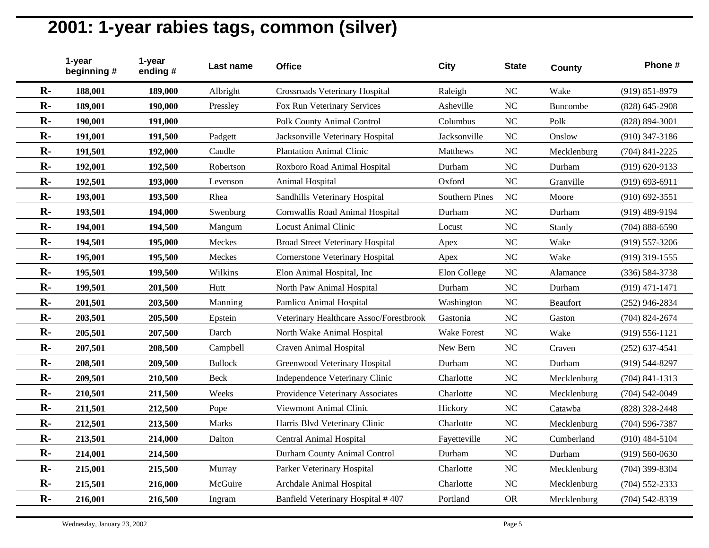|                | 1-year<br>beginning # | 1-year<br>ending# | Last name      | <b>Office</b>                           | City                  | <b>State</b>   | County      | Phone #            |
|----------------|-----------------------|-------------------|----------------|-----------------------------------------|-----------------------|----------------|-------------|--------------------|
| $\mathbf{R}$   | 188,001               | 189,000           | Albright       | <b>Crossroads Veterinary Hospital</b>   | Raleigh               | <b>NC</b>      | Wake        | $(919) 851 - 8979$ |
| $\mathbf{R}$   | 189,001               | 190,000           | Pressley       | Fox Run Veterinary Services             | Asheville             | <b>NC</b>      | Buncombe    | $(828)$ 645-2908   |
| $\mathbf{R}$   | 190,001               | 191,000           |                | <b>Polk County Animal Control</b>       | Columbus              | NC             | Polk        | $(828) 894 - 3001$ |
| R-             | 191,001               | 191,500           | Padgett        | Jacksonville Veterinary Hospital        | Jacksonville          | NC             | Onslow      | $(910)$ 347-3186   |
| $\mathbf{R}$   | 191,501               | 192,000           | Caudle         | <b>Plantation Animal Clinic</b>         | Matthews              | NC             | Mecklenburg | $(704)$ 841-2225   |
| $R -$          | 192,001               | 192,500           | Robertson      | Roxboro Road Animal Hospital            | Durham                | <b>NC</b>      | Durham      | $(919) 620 - 9133$ |
| $\mathbf{R}$   | 192,501               | 193,000           | Levenson       | Animal Hospital                         | Oxford                | <b>NC</b>      | Granville   | $(919) 693 - 6911$ |
| $\mathbf{R}$ - | 193,001               | 193,500           | Rhea           | Sandhills Veterinary Hospital           | <b>Southern Pines</b> | <b>NC</b>      | Moore       | $(910) 692 - 3551$ |
| $\mathbf{R}$ - | 193,501               | 194,000           | Swenburg       | Cornwallis Road Animal Hospital         | Durham                | <b>NC</b>      | Durham      | (919) 489-9194     |
| R-             | 194,001               | 194,500           | Mangum         | <b>Locust Animal Clinic</b>             | Locust                | NC             | Stanly      | $(704) 888 - 6590$ |
| $R -$          | 194,501               | 195,000           | Meckes         | <b>Broad Street Veterinary Hospital</b> | Apex                  | <b>NC</b>      | Wake        | $(919) 557 - 3206$ |
| $\mathbf{R}$   | 195,001               | 195,500           | Meckes         | <b>Cornerstone Veterinary Hospital</b>  | Apex                  | <b>NC</b>      | Wake        | (919) 319-1555     |
| $R -$          | 195,501               | 199,500           | Wilkins        | Elon Animal Hospital, Inc               | Elon College          | <b>NC</b>      | Alamance    | $(336) 584 - 3738$ |
| R-             | 199,501               | 201,500           | Hutt           | North Paw Animal Hospital               | Durham                | NC             | Durham      | $(919)$ 471-1471   |
| R-             | 201,501               | 203,500           | Manning        | Pamlico Animal Hospital                 | Washington            | NC             | Beaufort    | $(252)$ 946-2834   |
| $R -$          | 203,501               | 205,500           | Epstein        | Veterinary Healthcare Assoc/Forestbrook | Gastonia              | <b>NC</b>      | Gaston      | $(704)$ 824-2674   |
| $R -$          | 205,501               | 207,500           | Darch          | North Wake Animal Hospital              | <b>Wake Forest</b>    | <b>NC</b>      | Wake        | $(919) 556 - 1121$ |
| R-             | 207,501               | 208,500           | Campbell       | Craven Animal Hospital                  | New Bern              | <b>NC</b>      | Craven      | $(252) 637 - 4541$ |
| $\mathbf{R}$   | 208,501               | 209,500           | <b>Bullock</b> | Greenwood Veterinary Hospital           | Durham                | NC             | Durham      | $(919) 544 - 8297$ |
| $\mathbf{R}$ - | 209,501               | 210,500           | Beck           | Independence Veterinary Clinic          | Charlotte             | <b>NC</b>      | Mecklenburg | $(704)$ 841-1313   |
| $R -$          | 210,501               | 211,500           | Weeks          | Providence Veterinary Associates        | Charlotte             | N <sub>C</sub> | Mecklenburg | $(704) 542 - 0049$ |
| $\mathbf{R}$   | 211,501               | 212,500           | Pope           | Viewmont Animal Clinic                  | Hickory               | <b>NC</b>      | Catawba     | (828) 328-2448     |
| $R -$          | 212,501               | 213,500           | Marks          | Harris Blvd Veterinary Clinic           | Charlotte             | <b>NC</b>      | Mecklenburg | $(704)$ 596-7387   |
| $\mathbf{R}$ - | 213,501               | 214,000           | Dalton         | <b>Central Animal Hospital</b>          | Fayetteville          | <b>NC</b>      | Cumberland  | $(910)$ 484-5104   |
| R-             | 214,001               | 214,500           |                | Durham County Animal Control            | Durham                | NC             | Durham      | $(919) 560 - 0630$ |
| $\mathbf{R}$   | 215,001               | 215,500           | Murray         | Parker Veterinary Hospital              | Charlotte             | <b>NC</b>      | Mecklenburg | $(704)$ 399-8304   |
| R-             | 215,501               | 216,000           | McGuire        | Archdale Animal Hospital                | Charlotte             | NC             | Mecklenburg | $(704) 552 - 2333$ |
| $\mathbf{R}$   | 216,001               | 216,500           | Ingram         | Banfield Veterinary Hospital #407       | Portland              | <b>OR</b>      | Mecklenburg | $(704) 542 - 8339$ |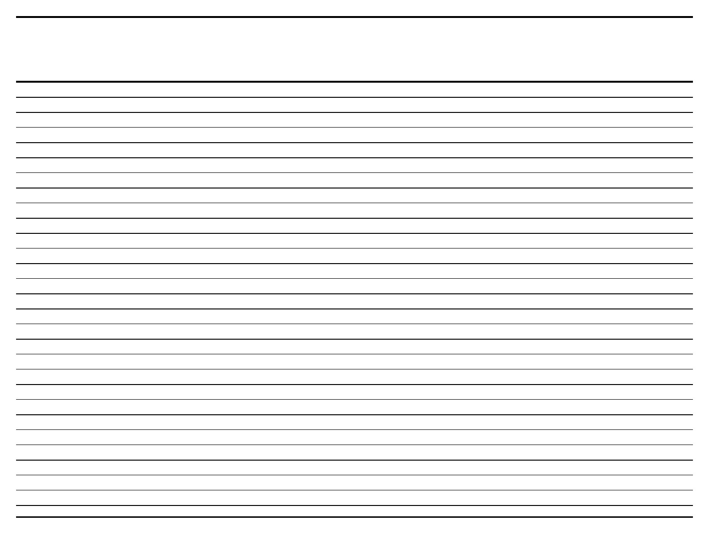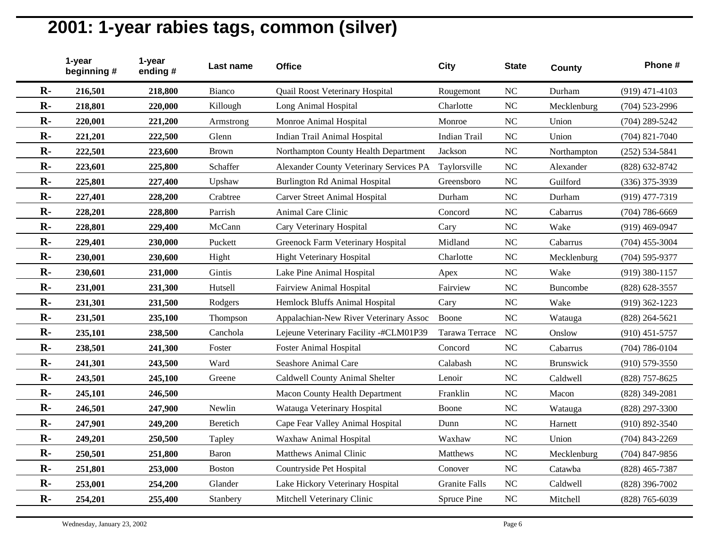|                | 1-year<br>beginning # | 1-year<br>ending# | Last name       | <b>Office</b>                           | <b>City</b>          | <b>State</b> | County           | Phone #            |
|----------------|-----------------------|-------------------|-----------------|-----------------------------------------|----------------------|--------------|------------------|--------------------|
| $\mathbf{R}$   | 216,501               | 218,800           | <b>Bianco</b>   | Quail Roost Veterinary Hospital         | Rougemont            | <b>NC</b>    | Durham           | $(919)$ 471-4103   |
| $R -$          | 218,801               | 220,000           | Killough        | Long Animal Hospital                    | Charlotte            | NC           | Mecklenburg      | $(704)$ 523-2996   |
| $\mathbf{R}$   | 220,001               | 221,200           | Armstrong       | Monroe Animal Hospital                  | Monroe               | NC           | Union            | (704) 289-5242     |
| $\mathbf{R}$   | 221,201               | 222,500           | Glenn           | <b>Indian Trail Animal Hospital</b>     | <b>Indian Trail</b>  | NC           | Union            | $(704)$ 821-7040   |
| $\mathbf{R}$ - | 222,501               | 223,600           | <b>Brown</b>    | Northampton County Health Department    | Jackson              | <b>NC</b>    | Northampton      | $(252) 534 - 5841$ |
| $\mathbf{R}$ - | 223,601               | 225,800           | Schaffer        | Alexander County Veterinary Services PA | Taylorsville         | NC           | Alexander        | (828) 632-8742     |
| $\mathbf{R}$ - | 225,801               | 227,400           | Upshaw          | <b>Burlington Rd Animal Hospital</b>    | Greensboro           | NC           | Guilford         | (336) 375-3939     |
| $\mathbf{R}$   | 227,401               | 228,200           | Crabtree        | <b>Carver Street Animal Hospital</b>    | Durham               | NC           | Durham           | (919) 477-7319     |
| $\mathbf{R}$   | 228,201               | 228,800           | Parrish         | Animal Care Clinic                      | Concord              | NC           | Cabarrus         | $(704) 786 - 6669$ |
| $\mathbf{R}$ - | 228,801               | 229,400           | McCann          | Cary Veterinary Hospital                | Cary                 | <b>NC</b>    | Wake             | $(919)$ 469-0947   |
| R-             | 229,401               | 230,000           | Puckett         | Greenock Farm Veterinary Hospital       | Midland              | NC           | Cabarrus         | $(704)$ 455-3004   |
| R-             | 230,001               | 230,600           | Hight           | <b>Hight Veterinary Hospital</b>        | Charlotte            | NC           | Mecklenburg      | $(704)$ 595-9377   |
| R-             | 230,601               | 231,000           | Gintis          | Lake Pine Animal Hospital               | Apex                 | NC           | Wake             | $(919)$ 380-1157   |
| $\mathbf{R}$   | 231,001               | 231,300           | Hutsell         | Fairview Animal Hospital                | Fairview             | <b>NC</b>    | Buncombe         | (828) 628-3557     |
| $R -$          | 231,301               | 231,500           | Rodgers         | Hemlock Bluffs Animal Hospital          | Cary                 | NC           | Wake             | $(919)$ 362-1223   |
| $\mathbf{R}$ - | 231,501               | 235,100           | <b>Thompson</b> | Appalachian-New River Veterinary Assoc  | Boone                | <b>NC</b>    | Watauga          | $(828)$ 264-5621   |
| R-             | 235,101               | 238,500           | Canchola        | Lejeune Veterinary Facility -#CLM01P39  | Tarawa Terrace       | NC           | Onslow           | $(910)$ 451-5757   |
| $\mathbf{R}$ - | 238,501               | 241,300           | Foster          | <b>Foster Animal Hospital</b>           | Concord              | NC           | Cabarrus         | $(704) 786 - 0104$ |
| $\mathbf{R}$ - | 241,301               | 243,500           | Ward            | Seashore Animal Care                    | Calabash             | NC           | <b>Brunswick</b> | $(910) 579 - 3550$ |
| $\mathbf{R}$ - | 243,501               | 245,100           | Greene          | Caldwell County Animal Shelter          | Lenoir               | <b>NC</b>    | Caldwell         | (828) 757-8625     |
| $R -$          | 245,101               | 246,500           |                 | <b>Macon County Health Department</b>   | Franklin             | NC           | Macon            | (828) 349-2081     |
| $\mathbf{R}$   | 246,501               | 247,900           | Newlin          | Watauga Veterinary Hospital             | Boone                | <b>NC</b>    | Watauga          | (828) 297-3300     |
| R-             | 247,901               | 249,200           | Beretich        | Cape Fear Valley Animal Hospital        | Dunn                 | NC           | Harnett          | $(910) 892 - 3540$ |
| $\mathbf{R}$ - | 249,201               | 250,500           | Tapley          | Waxhaw Animal Hospital                  | Waxhaw               | NC           | Union            | $(704)$ 843-2269   |
| $\mathbf{R}$   | 250,501               | 251,800           | Baron           | Matthews Animal Clinic                  | Matthews             | NC           | Mecklenburg      | $(704)$ 847-9856   |
| $\mathbf{R}$ - | 251,801               | 253,000           | <b>Boston</b>   | Countryside Pet Hospital                | Conover              | NC           | Catawba          | $(828)$ 465-7387   |
| R-             | 253,001               | 254,200           | Glander         | Lake Hickory Veterinary Hospital        | <b>Granite Falls</b> | <b>NC</b>    | Caldwell         | (828) 396-7002     |
| $\mathbf{R}$ - | 254,201               | 255,400           | Stanbery        | Mitchell Veterinary Clinic              | Spruce Pine          | <b>NC</b>    | Mitchell         | $(828)$ 765-6039   |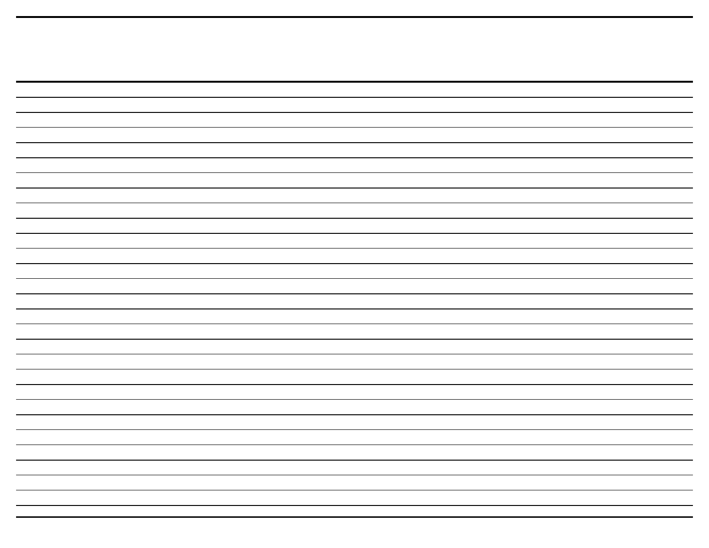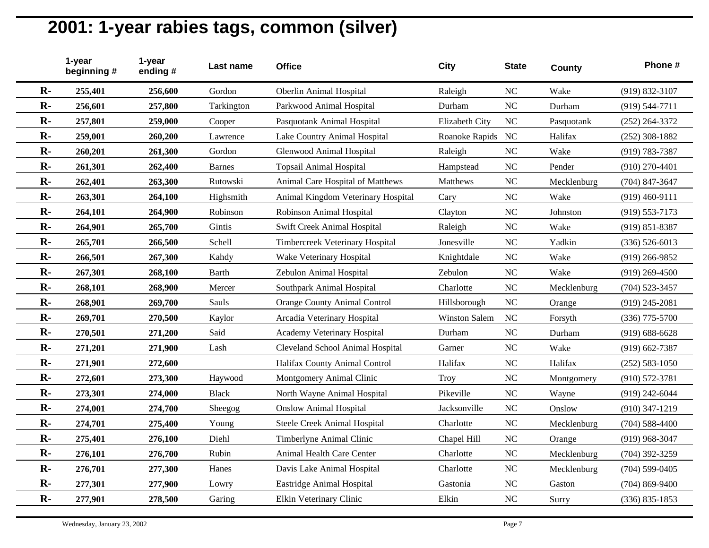|                | 1-year<br>beginning# | 1-year<br>ending# | Last name     | <b>Office</b>                       | <b>City</b>    | <b>State</b> | County      | Phone #            |
|----------------|----------------------|-------------------|---------------|-------------------------------------|----------------|--------------|-------------|--------------------|
| $\mathbf{R}$   | 255,401              | 256,600           | Gordon        | Oberlin Animal Hospital             | Raleigh        | <b>NC</b>    | Wake        | (919) 832-3107     |
| $\mathbf{R}$   | 256,601              | 257,800           | Tarkington    | Parkwood Animal Hospital            | Durham         | <b>NC</b>    | Durham      | (919) 544-7711     |
| $\mathbf{R}$   | 257,801              | 259,000           | Cooper        | Pasquotank Animal Hospital          | Elizabeth City | NC           | Pasquotank  | $(252)$ 264-3372   |
| R-             | 259,001              | 260,200           | Lawrence      | Lake Country Animal Hospital        | Roanoke Rapids | NC           | Halifax     | $(252)$ 308-1882   |
| $\mathbf{R}$   | 260,201              | 261,300           | Gordon        | Glenwood Animal Hospital            | Raleigh        | NC           | Wake        | (919) 783-7387     |
| $R -$          | 261,301              | 262,400           | <b>Barnes</b> | <b>Topsail Animal Hospital</b>      | Hampstead      | NC           | Pender      | $(910)$ 270-4401   |
| $\mathbf{R}$   | 262,401              | 263,300           | Rutowski      | Animal Care Hospital of Matthews    | Matthews       | NC           | Mecklenburg | $(704)$ 847-3647   |
| $\mathbf{R}$   | 263,301              | 264,100           | Highsmith     | Animal Kingdom Veterinary Hospital  | Cary           | NC           | Wake        | $(919)$ 460-9111   |
| $\mathbf{R}$ - | 264,101              | 264,900           | Robinson      | Robinson Animal Hospital            | Clayton        | <b>NC</b>    | Johnston    | $(919) 553 - 7173$ |
| R-             | 264,901              | 265,700           | Gintis        | Swift Creek Animal Hospital         | Raleigh        | NC           | Wake        | $(919) 851 - 8387$ |
| $R -$          | 265,701              | 266,500           | Schell        | Timbercreek Veterinary Hospital     | Jonesville     | NC           | Yadkin      | $(336) 526 - 6013$ |
| $\mathbf{R}$   | 266,501              | 267,300           | Kahdy         | Wake Veterinary Hospital            | Knightdale     | <b>NC</b>    | Wake        | $(919)$ 266-9852   |
| $R -$          | 267,301              | 268,100           | <b>Barth</b>  | Zebulon Animal Hospital             | Zebulon        | <b>NC</b>    | Wake        | $(919)$ 269-4500   |
| R-             | 268,101              | 268,900           | Mercer        | Southpark Animal Hospital           | Charlotte      | NC           | Mecklenburg | $(704)$ 523-3457   |
| R-             | 268,901              | 269,700           | Sauls         | <b>Orange County Animal Control</b> | Hillsborough   | NC           | Orange      | $(919)$ 245-2081   |
| $R -$          | 269,701              | 270,500           | Kaylor        | Arcadia Veterinary Hospital         | Winston Salem  | NC           | Forsyth     | $(336)$ 775-5700   |
| $R -$          | 270,501              | 271,200           | Said          | Academy Veterinary Hospital         | Durham         | <b>NC</b>    | Durham      | $(919) 688 - 6628$ |
| R-             | 271,201              | 271,900           | Lash          | Cleveland School Animal Hospital    | Garner         | <b>NC</b>    | Wake        | $(919) 662 - 7387$ |
| $\mathbf{R}$ - | 271,901              | 272,600           |               | Halifax County Animal Control       | Halifax        | NC           | Halifax     | $(252) 583 - 1050$ |
| $\mathbf{R}$   | 272,601              | 273,300           | Haywood       | Montgomery Animal Clinic            | <b>Troy</b>    | <b>NC</b>    | Montgomery  | $(910) 572 - 3781$ |
| $R -$          | 273,301              | 274,000           | <b>Black</b>  | North Wayne Animal Hospital         | Pikeville      | NC           | Wayne       | $(919)$ 242-6044   |
| $\mathbf{R}$   | 274,001              | 274,700           | Sheegog       | <b>Onslow Animal Hospital</b>       | Jacksonville   | <b>NC</b>    | Onslow      | $(910)$ 347-1219   |
| $R -$          | 274,701              | 275,400           | Young         | Steele Creek Animal Hospital        | Charlotte      | <b>NC</b>    | Mecklenburg | $(704) 588 - 4400$ |
| $\mathbf{R}$ - | 275,401              | 276,100           | Diehl         | Timberlyne Animal Clinic            | Chapel Hill    | NC           | Orange      | $(919)$ 968-3047   |
| R-             | 276,101              | 276,700           | Rubin         | Animal Health Care Center           | Charlotte      | NC           | Mecklenburg | $(704)$ 392-3259   |
| $\mathbf{R}$   | 276,701              | 277,300           | Hanes         | Davis Lake Animal Hospital          | Charlotte      | <b>NC</b>    | Mecklenburg | $(704)$ 599-0405   |
| R-             | 277,301              | 277,900           | Lowry         | Eastridge Animal Hospital           | Gastonia       | <b>NC</b>    | Gaston      | $(704) 869 - 9400$ |
| $\mathbf{R}$ - | 277,901              | 278,500           | Garing        | Elkin Veterinary Clinic             | Elkin          | <b>NC</b>    | Surry       | $(336) 835 - 1853$ |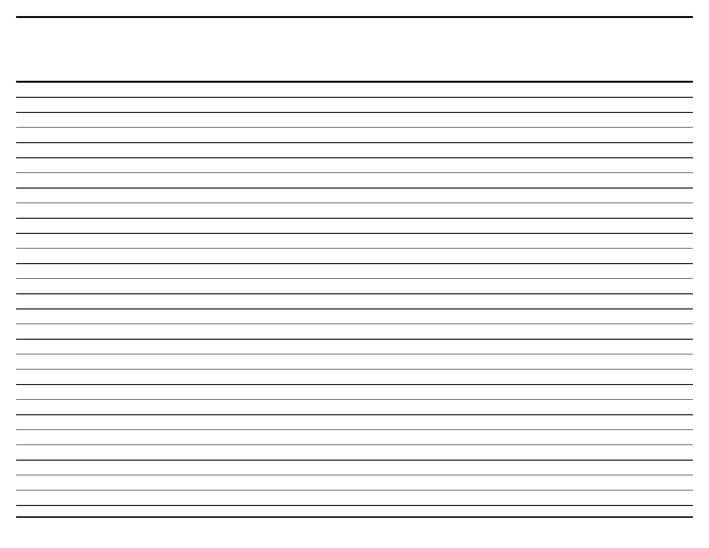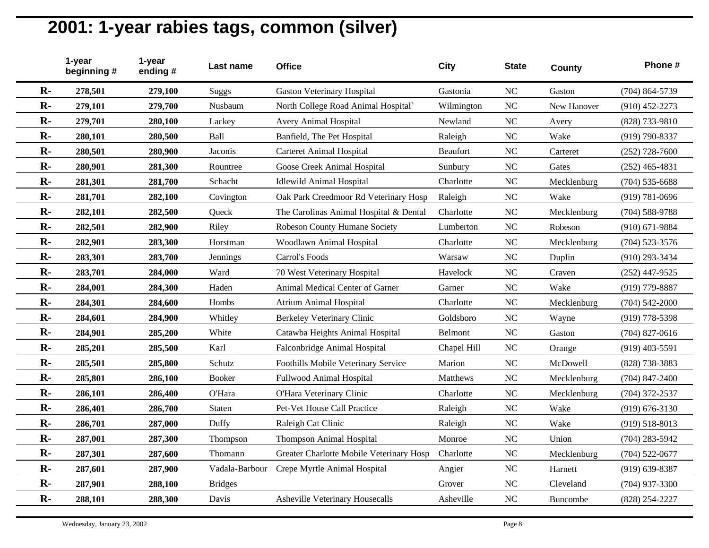|              | 1-year<br>beginning# | 1-year<br>ending# | Last name      | <b>Office</b>                            | City        | <b>State</b> | County          | Phone #            |
|--------------|----------------------|-------------------|----------------|------------------------------------------|-------------|--------------|-----------------|--------------------|
| $\mathbf{R}$ | 278,501              | 279,100           | <b>Suggs</b>   | <b>Gaston Veterinary Hospital</b>        | Gastonia    | <b>NC</b>    | Gaston          | (704) 864-5739     |
| $\mathbf{R}$ | 279,101              | 279,700           | Nusbaum        | North College Road Animal Hospital       | Wilmington  | <b>NC</b>    | New Hanover     | $(910)$ 452-2273   |
| $\mathbf{R}$ | 279,701              | 280,100           | Lackey         | <b>Avery Animal Hospital</b>             | Newland     | <b>NC</b>    | Avery           | (828) 733-9810     |
| $R -$        | 280,101              | 280,500           | Ball           | Banfield, The Pet Hospital               | Raleigh     | <b>NC</b>    | Wake            | (919) 790-8337     |
| $\mathbf{R}$ | 280,501              | 280,900           | Jaconis        | <b>Carteret Animal Hospital</b>          | Beaufort    | <b>NC</b>    | Carteret        | $(252)$ 728-7600   |
| $\mathbf{R}$ | 280,901              | 281,300           | Rountree       | Goose Creek Animal Hospital              | Sunbury     | <b>NC</b>    | Gates           | $(252)$ 465-4831   |
| $\mathbf{R}$ | 281,301              | 281,700           | Schacht        | <b>Idlewild Animal Hospital</b>          | Charlotte   | NC           | Mecklenburg     | $(704)$ 535-6688   |
| $\mathbf{R}$ | 281,701              | 282,100           | Covington      | Oak Park Creedmoor Rd Veterinary Hosp    | Raleigh     | NC           | Wake            | $(919) 781 - 0696$ |
| $\mathbf{R}$ | 282,101              | 282,500           | Queck          | The Carolinas Animal Hospital & Dental   | Charlotte   | NC           | Mecklenburg     | $(704) 588 - 9788$ |
| $\mathbf{R}$ | 282,501              | 282,900           | Riley          | Robeson County Humane Society            | Lumberton   | NC           | Robeson         | $(910) 671 - 9884$ |
| $\mathbf{R}$ | 282,901              | 283,300           | Horstman       | Woodlawn Animal Hospital                 | Charlotte   | NC           | Mecklenburg     | $(704)$ 523-3576   |
| $\mathbf{R}$ | 283,301              | 283,700           | Jennings       | Carrol's Foods                           | Warsaw      | NC           | Duplin          | (910) 293-3434     |
| $R -$        | 283,701              | 284,000           | Ward           | 70 West Veterinary Hospital              | Havelock    | <b>NC</b>    | Craven          | $(252)$ 447-9525   |
| $\mathbf{R}$ | 284,001              | 284,300           | Haden          | Animal Medical Center of Garner          | Garner      | NC           | Wake            | (919) 779-8887     |
| $\mathbf{R}$ | 284,301              | 284,600           | Hombs          | <b>Atrium Animal Hospital</b>            | Charlotte   | NC           | Mecklenburg     | $(704)$ 542-2000   |
| $\mathbf{R}$ | 284,601              | 284,900           | Whitley        | Berkeley Veterinary Clinic               | Goldsboro   | <b>NC</b>    | Wayne           | (919) 778-5398     |
| $R -$        | 284,901              | 285,200           | White          | Catawba Heights Animal Hospital          | Belmont     | <b>NC</b>    | Gaston          | $(704)$ 827-0616   |
| $\mathbf{R}$ | 285,201              | 285,500           | Karl           | Falconbridge Animal Hospital             | Chapel Hill | <b>NC</b>    | Orange          | $(919)$ 403-5591   |
| $R -$        | 285,501              | 285,800           | Schutz         | Foothills Mobile Veterinary Service      | Marion      | <b>NC</b>    | McDowell        | (828) 738-3883     |
| $\mathbf{R}$ | 285,801              | 286,100           | <b>Booker</b>  | <b>Fullwood Animal Hospital</b>          | Matthews    | <b>NC</b>    | Mecklenburg     | $(704)$ 847-2400   |
| $\mathbf{R}$ | 286,101              | 286,400           | O'Hara         | O'Hara Veterinary Clinic                 | Charlotte   | NC           | Mecklenburg     | $(704)$ 372-2537   |
| $\mathbf{R}$ | 286,401              | 286,700           | Staten         | Pet-Vet House Call Practice              | Raleigh     | <b>NC</b>    | Wake            | $(919) 676 - 3130$ |
| $\mathbf{R}$ | 286,701              | 287,000           | Duffy          | Raleigh Cat Clinic                       | Raleigh     | NC           | Wake            | $(919) 518 - 8013$ |
| $\mathbf{R}$ | 287,001              | 287,300           | Thompson       | <b>Thompson Animal Hospital</b>          | Monroe      | NC           | Union           | $(704)$ 283-5942   |
| $R -$        | 287,301              | 287,600           | Thomann        | Greater Charlotte Mobile Veterinary Hosp | Charlotte   | <b>NC</b>    | Mecklenburg     | $(704) 522 - 0677$ |
| $\mathbf{R}$ | 287,601              | 287,900           | Vadala-Barbour | Crepe Myrtle Animal Hospital             | Angier      | <b>NC</b>    | Harnett         | $(919) 639 - 8387$ |
| $\mathbf{R}$ | 287,901              | 288,100           | <b>Bridges</b> |                                          | Grover      | <b>NC</b>    | Cleveland       | $(704)$ 937-3300   |
| $\mathbf{R}$ | 288,101              | 288,300           | Davis          | Asheville Veterinary Housecalls          | Asheville   | <b>NC</b>    | <b>Buncombe</b> | (828) 254-2227     |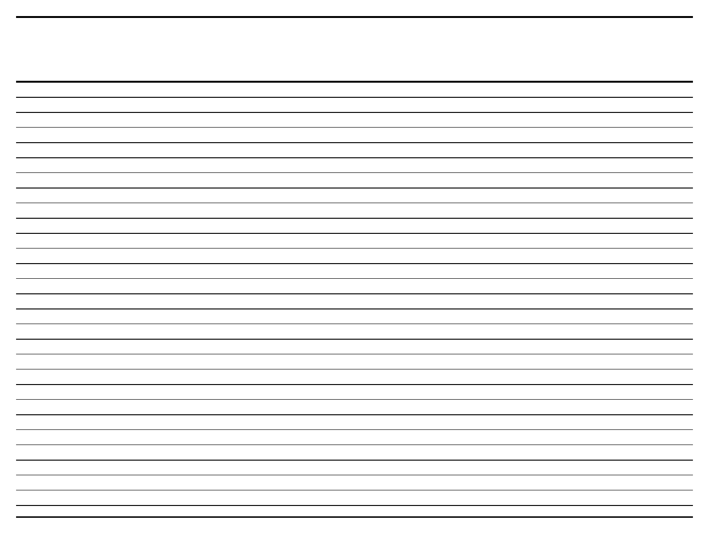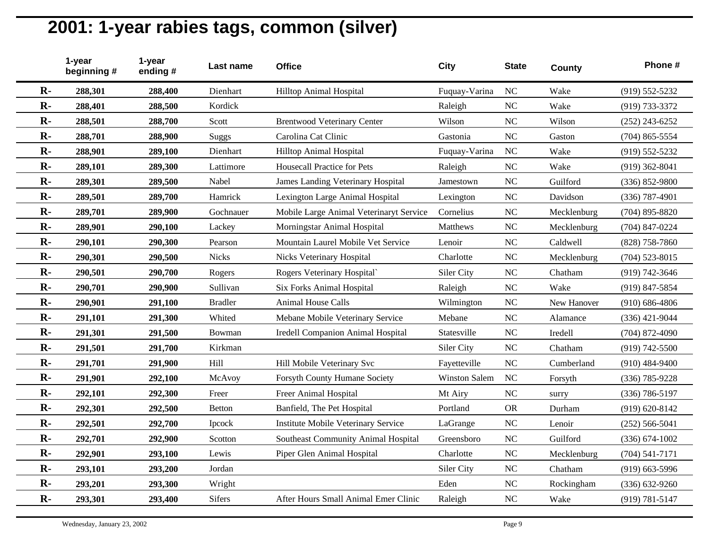|              | 1-year<br>beginning# | 1-year<br>ending# | Last name      | <b>Office</b>                           | <b>City</b>   | <b>State</b>   | County      | Phone #            |
|--------------|----------------------|-------------------|----------------|-----------------------------------------|---------------|----------------|-------------|--------------------|
| $\mathbf{R}$ | 288,301              | 288,400           | Dienhart       | Hilltop Animal Hospital                 | Fuquay-Varina | <b>NC</b>      | Wake        | $(919) 552 - 5232$ |
| $\mathbf{R}$ | 288,401              | 288,500           | Kordick        |                                         | Raleigh       | <b>NC</b>      | Wake        | (919) 733-3372     |
| $\mathbf{R}$ | 288,501              | 288,700           | Scott          | <b>Brentwood Veterinary Center</b>      | Wilson        | <b>NC</b>      | Wilson      | $(252)$ 243-6252   |
| $R -$        | 288,701              | 288,900           | Suggs          | Carolina Cat Clinic                     | Gastonia      | <b>NC</b>      | Gaston      | $(704)$ 865-5554   |
| $\mathbf{R}$ | 288,901              | 289,100           | Dienhart       | <b>Hilltop Animal Hospital</b>          | Fuquay-Varina | <b>NC</b>      | Wake        | $(919) 552 - 5232$ |
| $\mathbf{R}$ | 289,101              | 289,300           | Lattimore      | <b>Housecall Practice for Pets</b>      | Raleigh       | N <sub>C</sub> | Wake        | $(919)$ 362-8041   |
| $\mathbf{R}$ | 289,301              | 289,500           | Nabel          | James Landing Veterinary Hospital       | Jamestown     | <b>NC</b>      | Guilford    | $(336) 852 - 9800$ |
| $\mathbf{R}$ | 289,501              | 289,700           | Hamrick        | Lexington Large Animal Hospital         | Lexington     | <b>NC</b>      | Davidson    | $(336)$ 787-4901   |
| $\mathbf{R}$ | 289,701              | 289,900           | Gochnauer      | Mobile Large Animal Veterinaryt Service | Cornelius     | N <sub>C</sub> | Mecklenburg | $(704)$ 895-8820   |
| $\mathbf{R}$ | 289,901              | 290,100           | Lackey         | Morningstar Animal Hospital             | Matthews      | <b>NC</b>      | Mecklenburg | $(704)$ 847-0224   |
| $\mathbf{R}$ | 290,101              | 290,300           | Pearson        | Mountain Laurel Mobile Vet Service      | Lenoir        | <b>NC</b>      | Caldwell    | $(828)$ 758-7860   |
| $\mathbf{R}$ | 290,301              | 290,500           | <b>Nicks</b>   | Nicks Veterinary Hospital               | Charlotte     | <b>NC</b>      | Mecklenburg | $(704)$ 523-8015   |
| $\mathbf{R}$ | 290,501              | 290,700           | Rogers         | Rogers Veterinary Hospital              | Siler City    | <b>NC</b>      | Chatham     | (919) 742-3646     |
| $\mathbf{R}$ | 290,701              | 290,900           | Sullivan       | <b>Six Forks Animal Hospital</b>        | Raleigh       | <b>NC</b>      | Wake        | (919) 847-5854     |
| $R -$        | 290,901              | 291,100           | <b>Bradler</b> | <b>Animal House Calls</b>               | Wilmington    | <b>NC</b>      | New Hanover | $(910) 686 - 4806$ |
| $\mathbf{R}$ | 291,101              | 291,300           | Whited         | Mebane Mobile Veterinary Service        | Mebane        | <b>NC</b>      | Alamance    | $(336)$ 421-9044   |
| $\mathbf{R}$ | 291,301              | 291,500           | Bowman         | Iredell Companion Animal Hospital       | Statesville   | <b>NC</b>      | Iredell     | $(704)$ 872-4090   |
| $\mathbf{R}$ | 291,501              | 291,700           | Kirkman        |                                         | Siler City    | N <sub>C</sub> | Chatham     | $(919) 742 - 5500$ |
| $\mathbf{R}$ | 291,701              | 291,900           | Hill           | Hill Mobile Veterinary Svc              | Fayetteville  | N <sub>C</sub> | Cumberland  | $(910)$ 484-9400   |
| $\mathbf{R}$ | 291,901              | 292,100           | McAvoy         | Forsyth County Humane Society           | Winston Salem | N <sub>C</sub> | Forsyth     | $(336) 785 - 9228$ |
| $R -$        | 292,101              | 292,300           | Freer          | Freer Animal Hospital                   | Mt Airy       | N <sub>C</sub> | surry       | $(336) 786 - 5197$ |
| $\mathbf{R}$ | 292,301              | 292,500           | Betton         | Banfield, The Pet Hospital              | Portland      | <b>OR</b>      | Durham      | $(919) 620 - 8142$ |
| $R -$        | 292,501              | 292,700           | Ipcock         | Institute Mobile Veterinary Service     | LaGrange      | N <sub>C</sub> | Lenoir      | $(252) 566 - 5041$ |
| $\mathbf{R}$ | 292,701              | 292,900           | Scotton        | Southeast Community Animal Hospital     | Greensboro    | <b>NC</b>      | Guilford    | $(336) 674 - 1002$ |
| $R -$        | 292,901              | 293,100           | Lewis          | Piper Glen Animal Hospital              | Charlotte     | NC             | Mecklenburg | $(704) 541 - 7171$ |
| $\mathbf{R}$ | 293,101              | 293,200           | Jordan         |                                         | Siler City    | N <sub>C</sub> | Chatham     | $(919)$ 663-5996   |
| $\mathbf{R}$ | 293,201              | 293,300           | Wright         |                                         | Eden          | <b>NC</b>      | Rockingham  | $(336) 632 - 9260$ |
| $\mathbf{R}$ | 293,301              | 293,400           | Sifers         | After Hours Small Animal Emer Clinic    | Raleigh       | NC             | Wake        | $(919) 781 - 5147$ |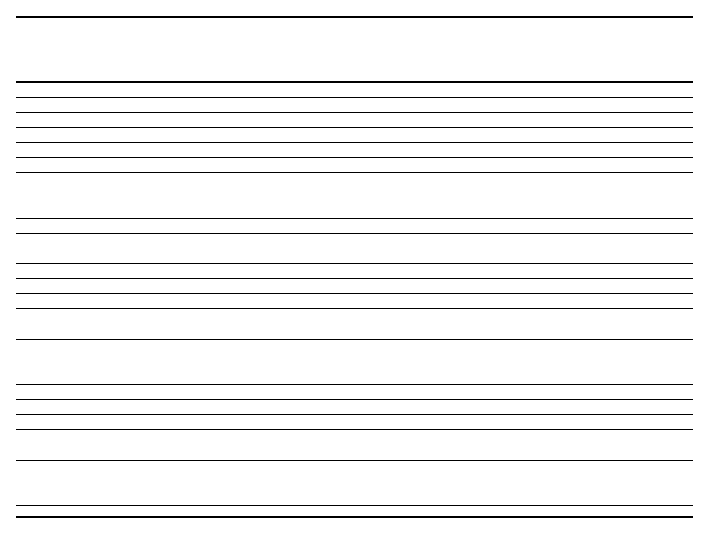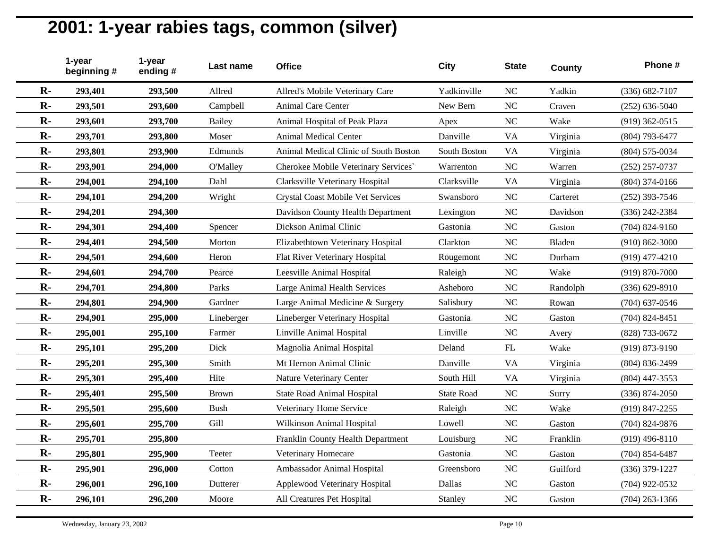|              | 1-year<br>beginning # | 1-year<br>ending# | Last name       | <b>Office</b>                            | <b>City</b>       | <b>State</b>   | <b>County</b> | Phone #            |
|--------------|-----------------------|-------------------|-----------------|------------------------------------------|-------------------|----------------|---------------|--------------------|
| $\mathbf{R}$ | 293,401               | 293,500           | Allred          | Allred's Mobile Veterinary Care          | Yadkinville       | NC             | Yadkin        | $(336) 682 - 7107$ |
| $\mathbf{R}$ | 293,501               | 293,600           | Campbell        | Animal Care Center                       | New Bern          | N <sub>C</sub> | Craven        | $(252) 636 - 5040$ |
| $\mathbf{R}$ | 293,601               | 293,700           | <b>Bailey</b>   | Animal Hospital of Peak Plaza            | Apex              | <b>NC</b>      | Wake          | $(919)$ 362-0515   |
| $\mathbf{R}$ | 293,701               | 293,800           | Moser           | <b>Animal Medical Center</b>             | Danville          | <b>VA</b>      | Virginia      | (804) 793-6477     |
| $R -$        | 293,801               | 293,900           | Edmunds         | Animal Medical Clinic of South Boston    | South Boston      | <b>VA</b>      | Virginia      | $(804) 575 - 0034$ |
| $\mathbf{R}$ | 293,901               | 294,000           | <b>O'Malley</b> | Cherokee Mobile Veterinary Services`     | Warrenton         | <b>NC</b>      | Warren        | $(252)$ 257-0737   |
| $\mathbf{R}$ | 294,001               | 294,100           | Dahl            | Clarksville Veterinary Hospital          | Clarksville       | <b>VA</b>      | Virginia      | $(804)$ 374-0166   |
| $\mathbf{R}$ | 294,101               | 294,200           | Wright          | <b>Crystal Coast Mobile Vet Services</b> | Swansboro         | NC             | Carteret      | $(252)$ 393-7546   |
| $R -$        | 294,201               | 294,300           |                 | Davidson County Health Department        | Lexington         | N <sub>C</sub> | Davidson      | (336) 242-2384     |
| $\mathbf{R}$ | 294,301               | 294,400           | Spencer         | Dickson Animal Clinic                    | Gastonia          | NC             | Gaston        | $(704)$ 824-9160   |
| $\mathbf{R}$ | 294,401               | 294,500           | Morton          | Elizabethtown Veterinary Hospital        | Clarkton          | NC             | Bladen        | $(910) 862 - 3000$ |
| $\mathbf{R}$ | 294,501               | 294,600           | Heron           | Flat River Veterinary Hospital           | Rougemont         | <b>NC</b>      | Durham        | $(919)$ 477-4210   |
| $\mathbf{R}$ | 294,601               | 294,700           | Pearce          | Leesville Animal Hospital                | Raleigh           | <b>NC</b>      | Wake          | $(919) 870 - 7000$ |
| $\mathbf{R}$ | 294,701               | 294,800           | Parks           | Large Animal Health Services             | Asheboro          | <b>NC</b>      | Randolph      | $(336) 629 - 8910$ |
| $R -$        | 294,801               | 294,900           | Gardner         | Large Animal Medicine & Surgery          | Salisbury         | <b>NC</b>      | Rowan         | $(704)$ 637-0546   |
| $\mathbf{R}$ | 294,901               | 295,000           | Lineberger      | Lineberger Veterinary Hospital           | Gastonia          | <b>NC</b>      | Gaston        | $(704)$ 824-8451   |
| $\mathbf{R}$ | 295,001               | 295,100           | Farmer          | Linville Animal Hospital                 | Linville          | NC             | Avery         | (828) 733-0672     |
| $\mathbf{R}$ | 295,101               | 295,200           | Dick            | Magnolia Animal Hospital                 | Deland            | FL             | Wake          | $(919) 873 - 9190$ |
| $\mathbf{R}$ | 295,201               | 295,300           | Smith           | Mt Hernon Animal Clinic                  | Danville          | <b>VA</b>      | Virginia      | $(804) 836 - 2499$ |
| $\mathbf{R}$ | 295,301               | 295,400           | Hite            | Nature Veterinary Center                 | South Hill        | <b>VA</b>      | Virginia      | $(804)$ 447-3553   |
| $R -$        | 295,401               | 295,500           | <b>Brown</b>    | <b>State Road Animal Hospital</b>        | <b>State Road</b> | NC             | Surry         | $(336) 874 - 2050$ |
| $\mathbf{R}$ | 295,501               | 295,600           | <b>Bush</b>     | Veterinary Home Service                  | Raleigh           | <b>NC</b>      | Wake          | (919) 847-2255     |
| $R -$        | 295,601               | 295,700           | Gill            | Wilkinson Animal Hospital                | Lowell            | <b>NC</b>      | Gaston        | $(704)$ 824-9876   |
| $\mathbf{R}$ | 295,701               | 295,800           |                 | Franklin County Health Department        | Louisburg         | <b>NC</b>      | Franklin      | $(919)$ 496-8110   |
| $R -$        | 295,801               | 295,900           | Teeter          | Veterinary Homecare                      | Gastonia          | N <sub>C</sub> | Gaston        | $(704)$ 854-6487   |
| $\mathbf{R}$ | 295,901               | 296,000           | Cotton          | Ambassador Animal Hospital               | Greensboro        | <b>NC</b>      | Guilford      | (336) 379-1227     |
| $\mathbf{R}$ | 296,001               | 296,100           | Dutterer        | Applewood Veterinary Hospital            | Dallas            | NC             | Gaston        | $(704)$ 922-0532   |
| $\mathbf{R}$ | 296,101               | 296,200           | Moore           | All Creatures Pet Hospital               | Stanley           | <b>NC</b>      | Gaston        | $(704)$ 263-1366   |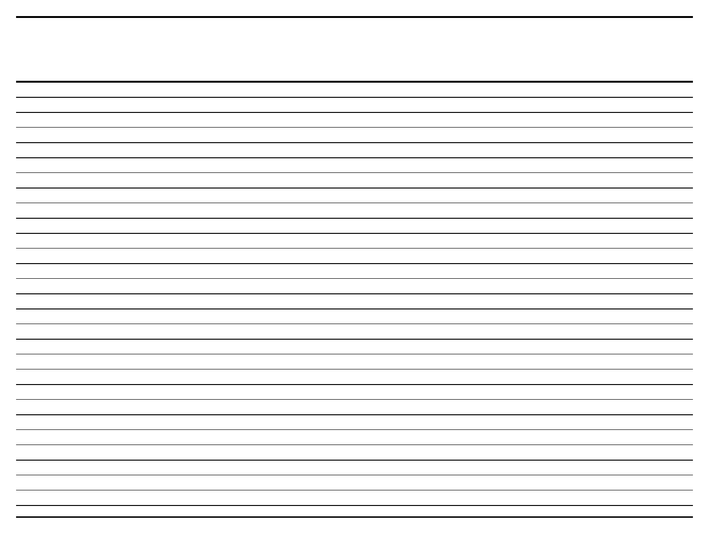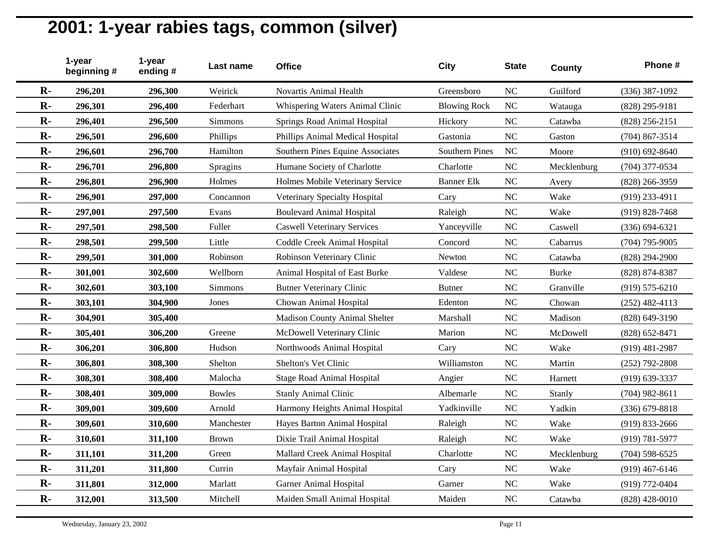|                | 1-year<br>beginning# | 1-year<br>ending# | Last name      | <b>Office</b>                       | City                  | <b>State</b>   | County       | Phone #            |
|----------------|----------------------|-------------------|----------------|-------------------------------------|-----------------------|----------------|--------------|--------------------|
| $\mathbf{R}$   | 296,201              | 296,300           | Weirick        | Novartis Animal Health              | Greensboro            | <b>NC</b>      | Guilford     | $(336)$ 387-1092   |
| $\mathbf{R}$   | 296,301              | 296,400           | Federhart      | Whispering Waters Animal Clinic     | <b>Blowing Rock</b>   | <b>NC</b>      | Watauga      | (828) 295-9181     |
| $\mathbf{R}$   | 296,401              | 296,500           | Simmons        | <b>Springs Road Animal Hospital</b> | Hickory               | NC             | Catawba      | $(828)$ 256-2151   |
| $\mathbf{R}$   | 296,501              | 296,600           | Phillips       | Phillips Animal Medical Hospital    | Gastonia              | NC             | Gaston       | $(704) 867 - 3514$ |
| $\mathbf{R}$   | 296,601              | 296,700           | Hamilton       | Southern Pines Equine Associates    | <b>Southern Pines</b> | NC             | Moore        | $(910) 692 - 8640$ |
| $\mathbf{R}$   | 296,701              | 296,800           | Spragins       | Humane Society of Charlotte         | Charlotte             | NC             | Mecklenburg  | (704) 377-0534     |
| $\mathbf{R}$   | 296,801              | 296,900           | Holmes         | Holmes Mobile Veterinary Service    | <b>Banner Elk</b>     | NC             | Avery        | (828) 266-3959     |
| $\mathbf{R}$   | 296,901              | 297,000           | Concannon      | Veterinary Specialty Hospital       | Cary                  | NC             | Wake         | (919) 233-4911     |
| $\mathbf{R}$   | 297,001              | 297,500           | Evans          | <b>Boulevard Animal Hospital</b>    | Raleigh               | <b>NC</b>      | Wake         | $(919) 828 - 7468$ |
| $\mathbf{R}$   | 297,501              | 298,500           | Fuller         | <b>Caswell Veterinary Services</b>  | Yanceyville           | NC             | Caswell      | $(336) 694 - 6321$ |
| $R -$          | 298,501              | 299,500           | Little         | Coddle Creek Animal Hospital        | Concord               | NC             | Cabarrus     | $(704)$ 795-9005   |
| $\mathbf{R}$   | 299,501              | 301,000           | Robinson       | Robinson Veterinary Clinic          | Newton                | <b>NC</b>      | Catawba      | (828) 294-2900     |
| $R -$          | 301,001              | 302,600           | Wellborn       | Animal Hospital of East Burke       | Valdese               | <b>NC</b>      | <b>Burke</b> | (828) 874-8387     |
| $\mathbf{R}$   | 302,601              | 303,100           | <b>Simmons</b> | <b>Butner Veterinary Clinic</b>     | <b>Butner</b>         | <b>NC</b>      | Granville    | $(919) 575 - 6210$ |
| $\mathbf{R}$   | 303,101              | 304,900           | Jones          | Chowan Animal Hospital              | Edenton               | NC             | Chowan       | $(252)$ 482-4113   |
| $\mathbf{R}$   | 304,901              | 305,400           |                | Madison County Animal Shelter       | Marshall              | <b>NC</b>      | Madison      | (828) 649-3190     |
| $R -$          | 305,401              | 306,200           | Greene         | McDowell Veterinary Clinic          | Marion                | <b>NC</b>      | McDowell     | $(828) 652 - 8471$ |
| $\mathbf{R}$   | 306,201              | 306,800           | Hudson         | Northwoods Animal Hospital          | Cary                  | <b>NC</b>      | Wake         | $(919)$ 481-2987   |
| $\mathbf{R}$   | 306,801              | 308,300           | Shelton        | Shelton's Vet Clinic                | Williamston           | NC             | Martin       | $(252)$ 792-2808   |
| $\mathbf{R}$   | 308,301              | 308,400           | Malocha        | <b>Stage Road Animal Hospital</b>   | Angier                | <b>NC</b>      | Harnett      | (919) 639-3337     |
| $R -$          | 308,401              | 309,000           | <b>Bowles</b>  | <b>Stanly Animal Clinic</b>         | Albemarle             | NC             | Stanly       | $(704)$ 982-8611   |
| $\mathbf{R}$   | 309,001              | 309,600           | Arnold         | Harmony Heights Animal Hospital     | Yadkinville           | <b>NC</b>      | Yadkin       | $(336) 679 - 8818$ |
| $R -$          | 309,601              | 310,600           | Manchester     | Hayes Barton Animal Hospital        | Raleigh               | <b>NC</b>      | Wake         | $(919)$ 833-2666   |
| $\mathbf{R}$   | 310,601              | 311,100           | <b>Brown</b>   | Dixie Trail Animal Hospital         | Raleigh               | NC             | Wake         | (919) 781-5977     |
| $\mathbf{R}$   | 311,101              | 311,200           | Green          | Mallard Creek Animal Hospital       | Charlotte             | NC             | Mecklenburg  | $(704)$ 598-6525   |
| $R -$          | 311,201              | 311,800           | Currin         | Mayfair Animal Hospital             | Cary                  | <b>NC</b>      | Wake         | $(919)$ 467-6146   |
| $\mathbf{R}$   | 311,801              | 312,000           | Marlatt        | <b>Garner Animal Hospital</b>       | Garner                | N <sub>C</sub> | Wake         | (919) 772-0404     |
| $\mathbf{R}$ - | 312,001              | 313,500           | Mitchell       | Maiden Small Animal Hospital        | Maiden                | <b>NC</b>      | Catawba      | $(828)$ 428-0010   |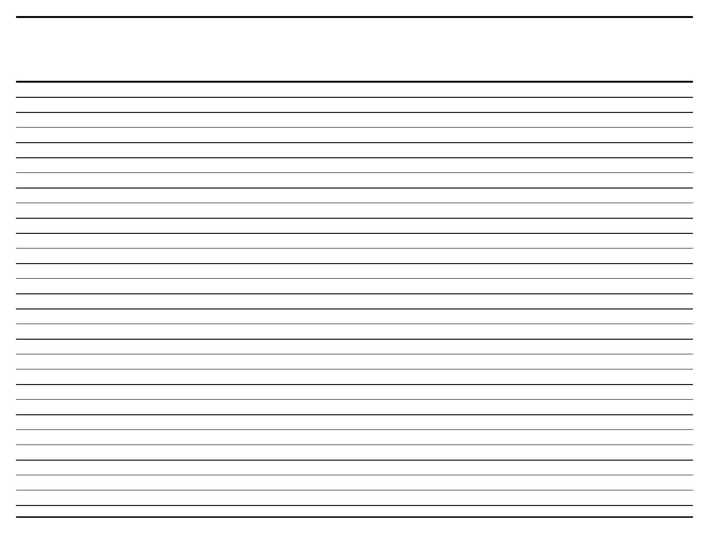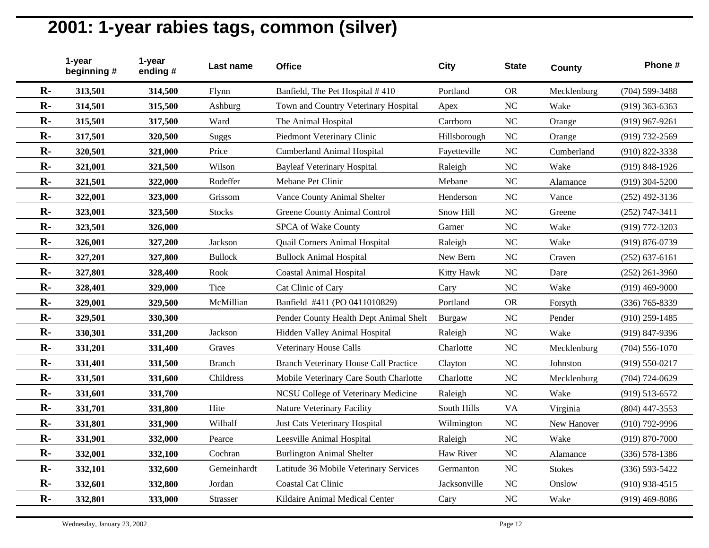|                | 1-year<br>beginning # | 1-year<br>ending# | Last name      | <b>Office</b>                                | <b>City</b>  | <b>State</b> | County        | Phone #            |
|----------------|-----------------------|-------------------|----------------|----------------------------------------------|--------------|--------------|---------------|--------------------|
| $\mathbf{R}$ - | 313,501               | 314,500           | Flynn          | Banfield, The Pet Hospital #410              | Portland     | <b>OR</b>    | Mecklenburg   | $(704)$ 599-3488   |
| $R -$          | 314,501               | 315,500           | Ashburg        | Town and Country Veterinary Hospital         | Apex         | <b>NC</b>    | Wake          | $(919)$ 363-6363   |
| $\mathbf{R}$   | 315,501               | 317,500           | Ward           | The Animal Hospital                          | Carrboro     | <b>NC</b>    | Orange        | $(919)$ 967-9261   |
| $\mathbf{R}$   | 317,501               | 320,500           | Suggs          | Piedmont Veterinary Clinic                   | Hillsborough | <b>NC</b>    | Orange        | (919) 732-2569     |
| $R -$          | 320,501               | 321,000           | Price          | <b>Cumberland Animal Hospital</b>            | Fayetteville | <b>NC</b>    | Cumberland    | (910) 822-3338     |
| $\mathbf{R}$ - | 321,001               | 321,500           | Wilson         | <b>Bayleaf Veterinary Hospital</b>           | Raleigh      | <b>NC</b>    | Wake          | (919) 848-1926     |
| $\mathbf{R}$ - | 321,501               | 322,000           | Rodeffer       | Mebane Pet Clinic                            | Mebane       | NC           | Alamance      | $(919)$ 304-5200   |
| $\mathbf{R}$   | 322,001               | 323,000           | Grissom        | Vance County Animal Shelter                  | Henderson    | NC           | Vance         | $(252)$ 492-3136   |
| $\mathbf{R}$   | 323,001               | 323,500           | <b>Stocks</b>  | Greene County Animal Control                 | Snow Hill    | NC           | Greene        | $(252)$ 747-3411   |
| $\mathbf{R}$   | 323,501               | 326,000           |                | SPCA of Wake County                          | Garner       | NC           | Wake          | $(919) 772 - 3203$ |
| $R -$          | 326,001               | 327,200           | Jackson        | Quail Corners Animal Hospital                | Raleigh      | <b>NC</b>    | Wake          | (919) 876-0739     |
| $\mathbf{R}$   | 327,201               | 327,800           | <b>Bullock</b> | <b>Bullock Animal Hospital</b>               | New Bern     | <b>NC</b>    | Craven        | $(252)$ 637-6161   |
| R-             | 327,801               | 328,400           | Rook           | <b>Coastal Animal Hospital</b>               | Kitty Hawk   | <b>NC</b>    | Dare          | $(252)$ 261-3960   |
| $R -$          | 328,401               | 329,000           | Tice           | Cat Clinic of Cary                           | Cary         | NC           | Wake          | $(919)$ 469-9000   |
| $R -$          | 329,001               | 329,500           | McMillian      | Banfield #411 (PO 0411010829)                | Portland     | <b>OR</b>    | Forsyth       | $(336)$ 765-8339   |
| $\mathbf{R}$ - | 329,501               | 330,300           |                | Pender County Health Dept Animal Shelt       | Burgaw       | NC           | Pender        | $(910)$ 259-1485   |
| R-             | 330,301               | 331,200           | Jackson        | Hidden Valley Animal Hospital                | Raleigh      | <b>NC</b>    | Wake          | (919) 847-9396     |
| $\mathbf{R}$ - | 331,201               | 331,400           | Graves         | Veterinary House Calls                       | Charlotte    | <b>NC</b>    | Mecklenburg   | $(704) 556 - 1070$ |
| $\mathbf{R}$ - | 331,401               | 331,500           | <b>Branch</b>  | <b>Branch Veterinary House Call Practice</b> | Clayton      | <b>NC</b>    | Johnston      | $(919) 550 - 0217$ |
| $\mathbf{R}$   | 331,501               | 331,600           | Childress      | Mobile Veterinary Care South Charlotte       | Charlotte    | NC           | Mecklenburg   | $(704) 724 - 0629$ |
| $R$            | 331,601               | 331,700           |                | NCSU College of Veterinary Medicine          | Raleigh      | <b>NC</b>    | Wake          | $(919) 513 - 6572$ |
| $\mathbf{R}$   | 331,701               | 331,800           | Hite           | <b>Nature Veterinary Facility</b>            | South Hills  | <b>VA</b>    | Virginia      | $(804)$ 447-3553   |
| $R -$          | 331,801               | 331,900           | Wilhalf        | Just Cats Veterinary Hospital                | Wilmington   | <b>NC</b>    | New Hanover   | $(910)$ 792-9996   |
| $\mathbf{R}$ - | 331,901               | 332,000           | Pearce         | Leesville Animal Hospital                    | Raleigh      | NC           | Wake          | $(919) 870 - 7000$ |
| $R -$          | 332,001               | 332,100           | Cochran        | <b>Burlington Animal Shelter</b>             | Haw River    | <b>NC</b>    | Alamance      | $(336) 578 - 1386$ |
| $\mathbf{R}$ - | 332,101               | 332,600           | Gemeinhardt    | Latitude 36 Mobile Veterinary Services       | Germanton    | <b>NC</b>    | <b>Stokes</b> | $(336) 593 - 5422$ |
| R-             | 332,601               | 332,800           | Jordan         | <b>Coastal Cat Clinic</b>                    | Jacksonville | <b>NC</b>    | Onslow        | $(910)$ 938-4515   |
| $\mathbf{R}$ - | 332,801               | 333,000           | Strasser       | Kildaire Animal Medical Center               | Cary         | <b>NC</b>    | Wake          | $(919)$ 469-8086   |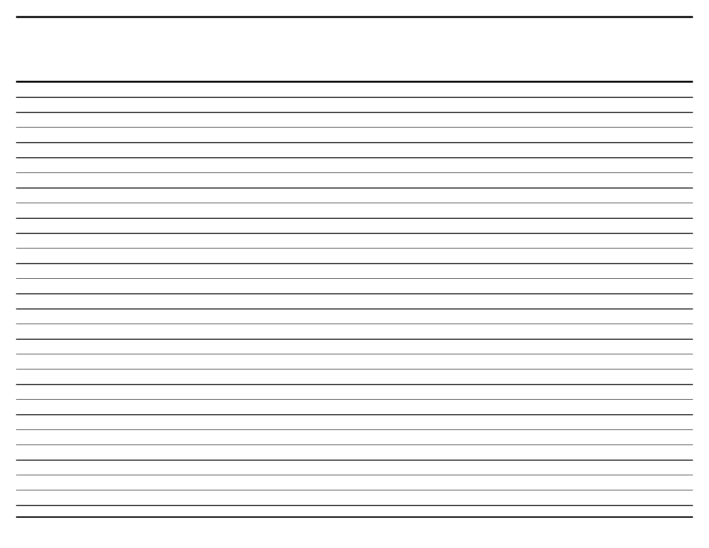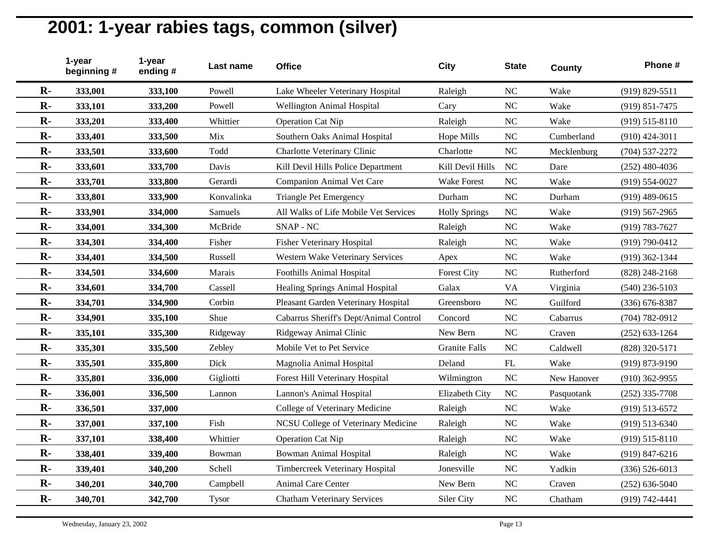|              | 1-year<br>beginning# | 1-year<br>ending# | Last name    | <b>Office</b>                          | <b>City</b>          | <b>State</b> | County      | Phone #            |
|--------------|----------------------|-------------------|--------------|----------------------------------------|----------------------|--------------|-------------|--------------------|
| $\mathbf{R}$ | 333,001              | 333,100           | Powell       | Lake Wheeler Veterinary Hospital       | Raleigh              | <b>NC</b>    | Wake        | $(919) 829 - 5511$ |
| $\mathbf{R}$ | 333,101              | 333,200           | Powell       | <b>Wellington Animal Hospital</b>      | Cary                 | <b>NC</b>    | Wake        | $(919) 851 - 7475$ |
| $\mathbf{R}$ | 333,201              | 333,400           | Whittier     | <b>Operation Cat Nip</b>               | Raleigh              | <b>NC</b>    | Wake        | (919) 515-8110     |
| $\mathbf{R}$ | 333,401              | 333,500           | Mix          | Southern Oaks Animal Hospital          | Hope Mills           | NC           | Cumberland  | $(910)$ 424-3011   |
| $\mathbf{R}$ | 333,501              | 333,600           | Todd         | Charlotte Veterinary Clinic            | Charlotte            | NC           | Mecklenburg | $(704) 537 - 2272$ |
| $\mathbf{R}$ | 333,601              | 333,700           | Davis        | Kill Devil Hills Police Department     | Kill Devil Hills     | <b>NC</b>    | Dare        | $(252)$ 480-4036   |
| $R -$        | 333,701              | 333,800           | Gerardi      | Companion Animal Vet Care              | <b>Wake Forest</b>   | <b>NC</b>    | Wake        | $(919) 554 - 0027$ |
| $\mathbf{R}$ | 333,801              | 333,900           | Konvalinka   | <b>Triangle Pet Emergency</b>          | Durham               | NC           | Durham      | $(919)$ 489-0615   |
| $\mathbf{R}$ | 333,901              | 334,000           | Samuels      | All Walks of Life Mobile Vet Services  | <b>Holly Springs</b> | NC           | Wake        | $(919) 567 - 2965$ |
| $R -$        | 334,001              | 334,300           | McBride      | SNAP - NC                              | Raleigh              | NC           | Wake        | (919) 783-7627     |
| $R -$        | 334,301              | 334,400           | Fisher       | <b>Fisher Veterinary Hospital</b>      | Raleigh              | <b>NC</b>    | Wake        | (919) 790-0412     |
| $\mathbf{R}$ | 334,401              | 334,500           | Russell      | Western Wake Veterinary Services       | Apex                 | <b>NC</b>    | Wake        | (919) 362-1344     |
| $\mathbf{R}$ | 334,501              | 334,600           | Marais       | Foothills Animal Hospital              | <b>Forest City</b>   | NC           | Rutherford  | (828) 248-2168     |
| $\mathbf{R}$ | 334,601              | 334,700           | Cassell      | <b>Healing Springs Animal Hospital</b> | Galax                | <b>VA</b>    | Virginia    | $(540)$ 236-5103   |
| $R -$        | 334,701              | 334,900           | Corbin       | Pleasant Garden Veterinary Hospital    | Greensboro           | <b>NC</b>    | Guilford    | $(336) 676 - 8387$ |
| $\mathbf{R}$ | 334,901              | 335,100           | Shue         | Cabarrus Sheriff's Dept/Animal Control | Concord              | <b>NC</b>    | Cabarrus    | $(704) 782 - 0912$ |
| $\mathbf{R}$ | 335,101              | 335,300           | Ridgeway     | Ridgeway Animal Clinic                 | New Bern             | NC           | Craven      | $(252)$ 633-1264   |
| $R -$        | 335,301              | 335,500           | Zebley       | Mobile Vet to Pet Service              | <b>Granite Falls</b> | NC           | Caldwell    | (828) 320-5171     |
| $R -$        | 335,501              | 335,800           | Dick         | Magnolia Animal Hospital               | Deland               | FL           | Wake        | $(919) 873 - 9190$ |
| $\mathbf{R}$ | 335,801              | 336,000           | Gigliotti    | Forest Hill Veterinary Hospital        | Wilmington           | <b>NC</b>    | New Hanover | $(910)$ 362-9955   |
| $\mathbf{R}$ | 336,001              | 336,500           | Lannon       | Lannon's Animal Hospital               | Elizabeth City       | NC           | Pasquotank  | $(252)$ 335-7708   |
| $\mathbf{R}$ | 336,501              | 337,000           |              | College of Veterinary Medicine         | Raleigh              | NC           | Wake        | $(919) 513 - 6572$ |
| $R -$        | 337,001              | 337,100           | Fish         | NCSU College of Veterinary Medicine    | Raleigh              | NC           | Wake        | $(919) 513 - 6340$ |
| $\mathbf{R}$ | 337,101              | 338,400           | Whittier     | <b>Operation Cat Nip</b>               | Raleigh              | NC           | Wake        | $(919) 515 - 8110$ |
| $\mathbf{R}$ | 338,401              | 339,400           | Bowman       | <b>Bowman Animal Hospital</b>          | Raleigh              | NC           | Wake        | $(919)$ 847-6216   |
| $\mathbf{R}$ | 339,401              | 340,200           | Schell       | Timbercreek Veterinary Hospital        | Jonesville           | NC           | Yadkin      | $(336) 526 - 6013$ |
| $\mathbf{R}$ | 340,201              | 340,700           | Campbell     | Animal Care Center                     | New Bern             | NC           | Craven      | $(252) 636 - 5040$ |
| $\mathbf{R}$ | 340,701              | 342,700           | <b>Tysor</b> | <b>Chatham Veterinary Services</b>     | Siler City           | <b>NC</b>    | Chatham     | (919) 742-4441     |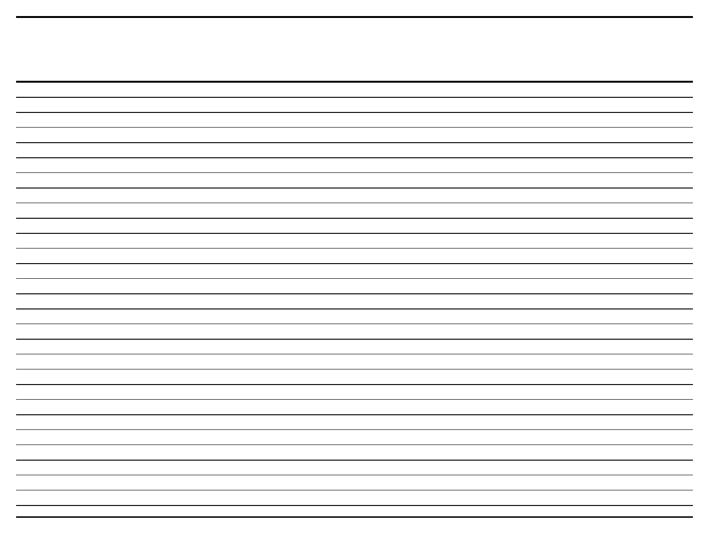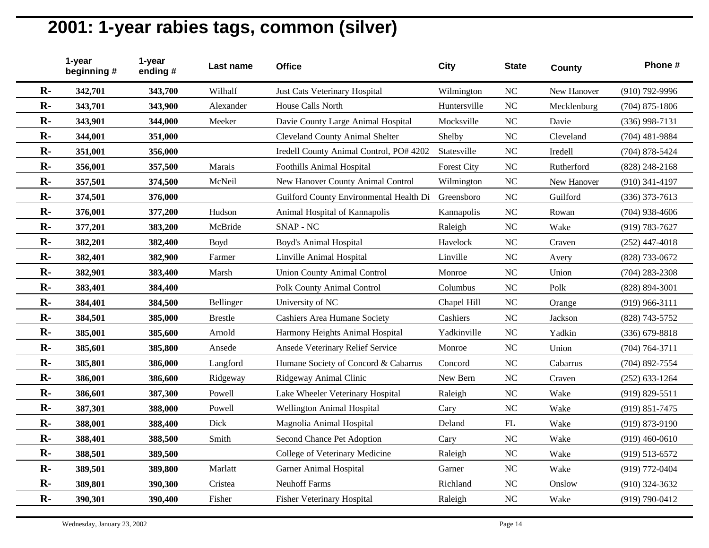|              | 1-year<br>beginning# | 1-year<br>ending# | Last name      | <b>Office</b>                           | City               | <b>State</b> | County      | Phone #            |
|--------------|----------------------|-------------------|----------------|-----------------------------------------|--------------------|--------------|-------------|--------------------|
| $\mathbf{R}$ | 342,701              | 343,700           | Wilhalf        | Just Cats Veterinary Hospital           | Wilmington         | <b>NC</b>    | New Hanover | (910) 792-9996     |
| $\mathbf{R}$ | 343,701              | 343,900           | Alexander      | House Calls North                       | Huntersville       | <b>NC</b>    | Mecklenburg | $(704)$ 875-1806   |
| $\mathbf{R}$ | 343,901              | 344,000           | Meeker         | Davie County Large Animal Hospital      | Mocksville         | NC           | Davie       | $(336)$ 998-7131   |
| $\mathbf{R}$ | 344,001              | 351,000           |                | <b>Cleveland County Animal Shelter</b>  | Shelby             | NC           | Cleveland   | $(704)$ 481-9884   |
| $\mathbf{R}$ | 351,001              | 356,000           |                | Iredell County Animal Control, PO# 4202 | Statesville        | NC           | Iredell     | $(704)$ 878-5424   |
| $\mathbf{R}$ | 356,001              | 357,500           | Marais         | Foothills Animal Hospital               | <b>Forest City</b> | NC           | Rutherford  | $(828)$ 248-2168   |
| $\mathbf{R}$ | 357,501              | 374,500           | McNeil         | New Hanover County Animal Control       | Wilmington         | NC           | New Hanover | $(910)$ 341-4197   |
| $\mathbf{R}$ | 374,501              | 376,000           |                | Guilford County Environmental Health Di | Greensboro         | NC           | Guilford    | $(336)$ 373-7613   |
| $\mathbf{R}$ | 376,001              | 377,200           | Hudson         | Animal Hospital of Kannapolis           | Kannapolis         | <b>NC</b>    | Rowan       | $(704)$ 938-4606   |
| $\mathbf{R}$ | 377,201              | 383,200           | McBride        | SNAP - NC                               | Raleigh            | NC           | Wake        | (919) 783-7627     |
| $R -$        | 382,201              | 382,400           | Boyd           | <b>Boyd's Animal Hospital</b>           | Havelock           | NC           | Craven      | $(252)$ 447-4018   |
| $\mathbf{R}$ | 382,401              | 382,900           | Farmer         | Linville Animal Hospital                | Linville           | <b>NC</b>    | Avery       | (828) 733-0672     |
| $R -$        | 382,901              | 383,400           | Marsh          | <b>Union County Animal Control</b>      | Monroe             | NC           | Union       | $(704)$ 283-2308   |
| $\mathbf{R}$ | 383,401              | 384,400           |                | <b>Polk County Animal Control</b>       | Columbus           | NC           | Polk        | $(828) 894 - 3001$ |
| $\mathbf{R}$ | 384,401              | 384,500           | Bellinger      | University of NC                        | Chapel Hill        | NC           | Orange      | $(919)$ 966-3111   |
| $\mathbf{R}$ | 384,501              | 385,000           | <b>Brestle</b> | <b>Cashiers Area Humane Society</b>     | Cashiers           | <b>NC</b>    | Jackson     | (828) 743-5752     |
| $R -$        | 385,001              | 385,600           | Arnold         | Harmony Heights Animal Hospital         | Yadkinville        | <b>NC</b>    | Yadkin      | $(336)$ 679-8818   |
| $\mathbf{R}$ | 385,601              | 385,800           | Ansede         | Ansede Veterinary Relief Service        | Monroe             | <b>NC</b>    | Union       | $(704) 764 - 3711$ |
| $\mathbf{R}$ | 385,801              | 386,000           | Langford       | Humane Society of Concord & Cabarrus    | Concord            | NC           | Cabarrus    | (704) 892-7554     |
| $\mathbf{R}$ | 386,001              | 386,600           | Ridgeway       | Ridgeway Animal Clinic                  | New Bern           | <b>NC</b>    | Craven      | $(252)$ 633-1264   |
| $R -$        | 386,601              | 387,300           | Powell         | Lake Wheeler Veterinary Hospital        | Raleigh            | NC           | Wake        | $(919) 829 - 5511$ |
| $\mathbf{R}$ | 387,301              | 388,000           | Powell         | <b>Wellington Animal Hospital</b>       | Cary               | <b>NC</b>    | Wake        | $(919) 851 - 7475$ |
| $R -$        | 388,001              | 388,400           | Dick           | Magnolia Animal Hospital                | Deland             | FL           | Wake        | $(919) 873 - 9190$ |
| $\mathbf{R}$ | 388,401              | 388,500           | Smith          | Second Chance Pet Adoption              | Cary               | NC           | Wake        | $(919)$ 460-0610   |
| $\mathbf{R}$ | 388,501              | 389,500           |                | College of Veterinary Medicine          | Raleigh            | NC           | Wake        | $(919) 513 - 6572$ |
| $R -$        | 389,501              | 389,800           | Marlatt        | <b>Garner Animal Hospital</b>           | Garner             | NC           | Wake        | (919) 772-0404     |
| $\mathbf{R}$ | 389,801              | 390,300           | Cristea        | <b>Neuhoff Farms</b>                    | Richland           | <b>NC</b>    | Onslow      | $(910)$ 324-3632   |
| $\mathbf{R}$ | 390,301              | 390,400           | Fisher         | <b>Fisher Veterinary Hospital</b>       | Raleigh            | <b>NC</b>    | Wake        | $(919) 790 - 0412$ |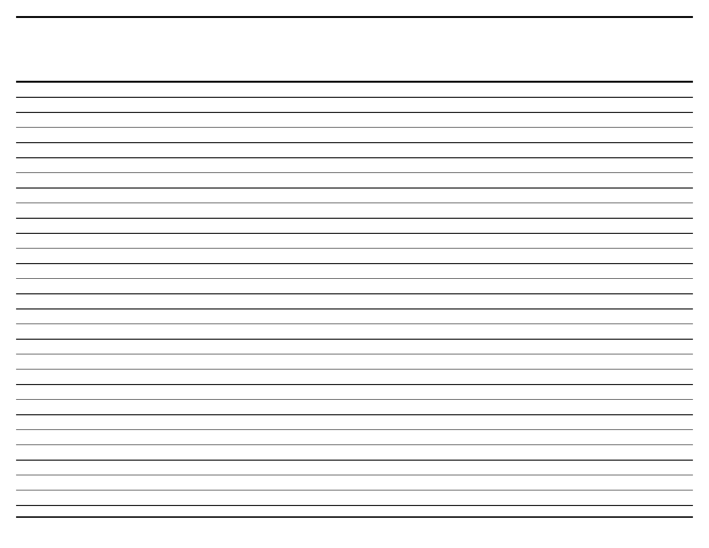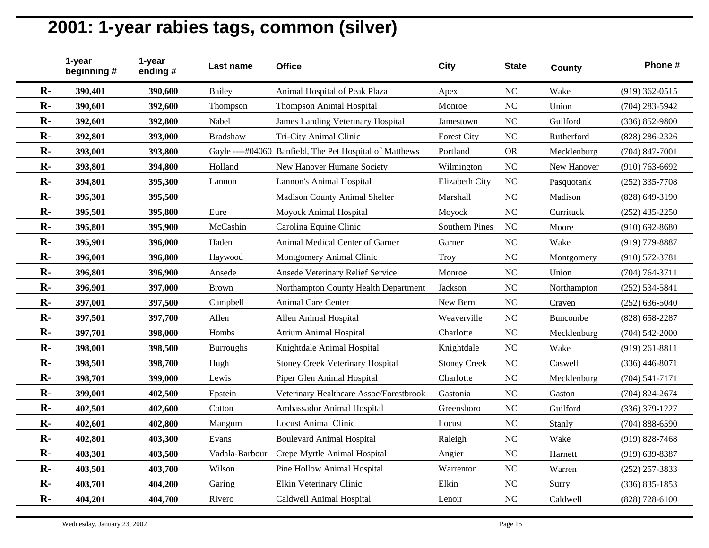|              | 1-year<br>beginning# | 1-year<br>ending# | Last name        | <b>Office</b>                                           | <b>City</b>           | <b>State</b> | County          | Phone #            |
|--------------|----------------------|-------------------|------------------|---------------------------------------------------------|-----------------------|--------------|-----------------|--------------------|
| $\mathbf{R}$ | 390,401              | 390,600           | Bailey           | Animal Hospital of Peak Plaza                           | Apex                  | <b>NC</b>    | Wake            | $(919)$ 362-0515   |
| $\mathbf{R}$ | 390,601              | 392,600           | Thompson         | <b>Thompson Animal Hospital</b>                         | Monroe                | <b>NC</b>    | Union           | (704) 283-5942     |
| $\mathbf{R}$ | 392,601              | 392,800           | Nabel            | James Landing Veterinary Hospital                       | Jamestown             | NC           | Guilford        | (336) 852-9800     |
| $\mathbf{R}$ | 392,801              | 393,000           | Bradshaw         | Tri-City Animal Clinic                                  | <b>Forest City</b>    | NC           | Rutherford      | (828) 286-2326     |
| $\mathbf{R}$ | 393,001              | 393,800           |                  | Gayle ----#04060 Banfield, The Pet Hospital of Matthews | Portland              | <b>OR</b>    | Mecklenburg     | $(704)$ 847-7001   |
| $\mathbf{R}$ | 393,801              | 394,800           | Holland          | New Hanover Humane Society                              | Wilmington            | NC           | New Hanover     | $(910)$ 763-6692   |
| $R -$        | 394,801              | 395,300           | Lannon           | Lannon's Animal Hospital                                | Elizabeth City        | <b>NC</b>    | Pasquotank      | $(252)$ 335-7708   |
| $\mathbf{R}$ | 395,301              | 395,500           |                  | <b>Madison County Animal Shelter</b>                    | Marshall              | NC           | Madison         | (828) 649-3190     |
| $\mathbf{R}$ | 395,501              | 395,800           | Eure             | Moyock Animal Hospital                                  | Moyock                | NC           | Currituck       | $(252)$ 435-2250   |
| $R -$        | 395,801              | 395,900           | McCashin         | Carolina Equine Clinic                                  | <b>Southern Pines</b> | NC           | Moore           | $(910) 692 - 8680$ |
| $R -$        | 395,901              | 396,000           | Haden            | Animal Medical Center of Garner                         | Garner                | NC           | Wake            | (919) 779-8887     |
| $\mathbf{R}$ | 396,001              | 396,800           | Haywood          | Montgomery Animal Clinic                                | <b>Troy</b>           | <b>NC</b>    | Montgomery      | $(910) 572 - 3781$ |
| $\mathbf{R}$ | 396,801              | 396,900           | Ansede           | Ansede Veterinary Relief Service                        | Monroe                | NC           | Union           | $(704) 764 - 3711$ |
| $\mathbf{R}$ | 396,901              | 397,000           | <b>Brown</b>     | Northampton County Health Department                    | Jackson               | <b>NC</b>    | Northampton     | $(252) 534 - 5841$ |
| $R -$        | 397,001              | 397,500           | Campbell         | Animal Care Center                                      | New Bern              | <b>NC</b>    | Craven          | $(252) 636 - 5040$ |
| $\mathbf{R}$ | 397,501              | 397,700           | Allen            | Allen Animal Hospital                                   | Weaverville           | <b>NC</b>    | <b>Buncombe</b> | $(828)$ 658-2287   |
| $\mathbf{R}$ | 397,701              | 398,000           | Hombs            | <b>Atrium Animal Hospital</b>                           | Charlotte             | NC           | Mecklenburg     | $(704) 542 - 2000$ |
| $R -$        | 398,001              | 398,500           | <b>Burroughs</b> | Knightdale Animal Hospital                              | Knightdale            | <b>NC</b>    | Wake            | $(919)$ 261-8811   |
| $R -$        | 398,501              | 398,700           | Hugh             | <b>Stoney Creek Veterinary Hospital</b>                 | <b>Stoney Creek</b>   | NC           | Caswell         | $(336)$ 446-8071   |
| $\mathbf{R}$ | 398,701              | 399,000           | Lewis            | Piper Glen Animal Hospital                              | Charlotte             | <b>NC</b>    | Mecklenburg     | $(704) 541 - 7171$ |
| $\mathbf{R}$ | 399,001              | 402,500           | Epstein          | Veterinary Healthcare Assoc/Forestbrook                 | Gastonia              | NC           | Gaston          | $(704)$ 824-2674   |
| $\mathbf{R}$ | 402,501              | 402,600           | Cotton           | Ambassador Animal Hospital                              | Greensboro            | NC           | Guilford        | (336) 379-1227     |
| $R -$        | 402,601              | 402,800           | Mangum           | <b>Locust Animal Clinic</b>                             | Locust                | NC           | Stanly          | $(704) 888 - 6590$ |
| $\mathbf{R}$ | 402,801              | 403,300           | Evans            | <b>Boulevard Animal Hospital</b>                        | Raleigh               | NC           | Wake            | $(919)$ 828-7468   |
| $\mathbf{R}$ | 403,301              | 403,500           | Vadala-Barbour   | Crepe Myrtle Animal Hospital                            | Angier                | NC           | Harnett         | $(919) 639 - 8387$ |
| $\mathbf{R}$ | 403,501              | 403,700           | Wilson           | Pine Hollow Animal Hospital                             | Warrenton             | NC           | Warren          | $(252)$ 257-3833   |
| $R -$        | 403,701              | 404,200           | Garing           | Elkin Veterinary Clinic                                 | Elkin                 | <b>NC</b>    | Surry           | $(336) 835 - 1853$ |
| $\mathbf{R}$ | 404,201              | 404,700           | Rivero           | Caldwell Animal Hospital                                | Lenoir                | <b>NC</b>    | Caldwell        | $(828)$ 728-6100   |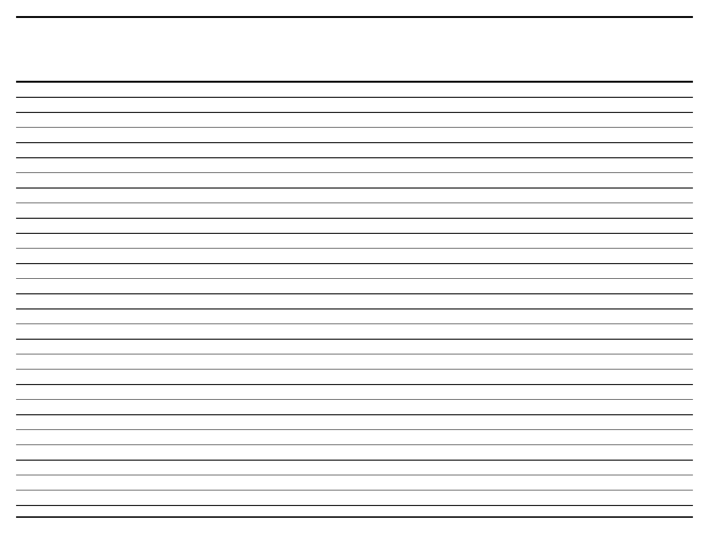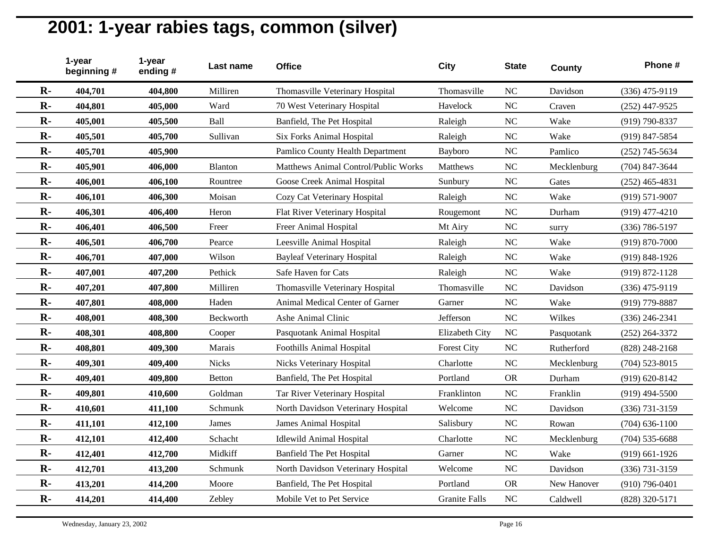|                | 1-year<br>beginning# | 1-year<br>ending# | Last name     | <b>Office</b>                        | <b>City</b>          | <b>State</b>   | County      | Phone #            |
|----------------|----------------------|-------------------|---------------|--------------------------------------|----------------------|----------------|-------------|--------------------|
| $\mathbf{R}$   | 404,701              | 404,800           | Milliren      | Thomasville Veterinary Hospital      | Thomasville          | <b>NC</b>      | Davidson    | $(336)$ 475-9119   |
| $\mathbf{R}$   | 404,801              | 405,000           | Ward          | 70 West Veterinary Hospital          | Havelock             | <b>NC</b>      | Craven      | $(252)$ 447-9525   |
| R-             | 405,001              | 405,500           | Ball          | Banfield, The Pet Hospital           | Raleigh              | NC             | Wake        | (919) 790-8337     |
| R-             | 405,501              | 405,700           | Sullivan      | <b>Six Forks Animal Hospital</b>     | Raleigh              | NC             | Wake        | (919) 847-5854     |
| $\mathbf{R}$   | 405,701              | 405,900           |               | Pamlico County Health Department     | Bayboro              | NC             | Pamlico     | $(252)$ 745-5634   |
| R-             | 405,901              | 406,000           | Blanton       | Matthews Animal Control/Public Works | <b>Matthews</b>      | NC             | Mecklenburg | (704) 847-3644     |
| $R -$          | 406,001              | 406,100           | Rountree      | Goose Creek Animal Hospital          | Sunbury              | <b>NC</b>      | Gates       | $(252)$ 465-4831   |
| R-             | 406,101              | 406,300           | Moisan        | Cozy Cat Veterinary Hospital         | Raleigh              | NC             | Wake        | $(919) 571 - 9007$ |
| $\mathbf{R}$ - | 406,301              | 406,400           | Heron         | Flat River Veterinary Hospital       | Rougemont            | NC             | Durham      | $(919)$ 477-4210   |
| $R -$          | 406,401              | 406,500           | Freer         | Freer Animal Hospital                | Mt Airy              | NC             | surry       | $(336) 786 - 5197$ |
| $R$            | 406,501              | 406,700           | Pearce        | Leesville Animal Hospital            | Raleigh              | <b>NC</b>      | Wake        | $(919) 870 - 7000$ |
| R-             | 406,701              | 407,000           | Wilson        | <b>Bayleaf Veterinary Hospital</b>   | Raleigh              | N <sub>C</sub> | Wake        | (919) 848-1926     |
| R-             | 407,001              | 407,200           | Pethick       | Safe Haven for Cats                  | Raleigh              | <b>NC</b>      | Wake        | $(919) 872 - 1128$ |
| R-             | 407,201              | 407,800           | Milliren      | Thomasville Veterinary Hospital      | Thomasville          | NC             | Davidson    | $(336)$ 475-9119   |
| $R$            | 407,801              | 408,000           | Haden         | Animal Medical Center of Garner      | Garner               | <b>NC</b>      | Wake        | $(919)$ 779-8887   |
| $\mathbf{R}$ - | 408,001              | 408,300           | Beckworth     | Ashe Animal Clinic                   | Jefferson            | <b>NC</b>      | Wilkes      | $(336)$ 246-2341   |
| R-             | 408,301              | 408,800           | Cooper        | Pasquotank Animal Hospital           | Elizabeth City       | NC             | Pasquotank  | $(252)$ 264-3372   |
| $R -$          | 408,801              | 409,300           | Marais        | Foothills Animal Hospital            | <b>Forest City</b>   | NC             | Rutherford  | $(828)$ 248-2168   |
| $R -$          | 409,301              | 409,400           | <b>Nicks</b>  | <b>Nicks Veterinary Hospital</b>     | Charlotte            | NC             | Mecklenburg | $(704)$ 523-8015   |
| $\mathbf{R}$   | 409,401              | 409,800           | <b>Betton</b> | Banfield, The Pet Hospital           | Portland             | <b>OR</b>      | Durham      | $(919) 620 - 8142$ |
| R-             | 409,801              | 410,600           | Goldman       | Tar River Veterinary Hospital        | Franklinton          | NC             | Franklin    | $(919)$ 494-5500   |
| $\mathbf{R}$   | 410,601              | 411,100           | Schmunk       | North Davidson Veterinary Hospital   | Welcome              | NC             | Davidson    | (336) 731-3159     |
| $R -$          | 411,101              | 412,100           | James         | James Animal Hospital                | Salisbury            | NC             | Rowan       | $(704)$ 636-1100   |
| $\mathbf{R}$   | 412,101              | 412,400           | Schacht       | <b>Idlewild Animal Hospital</b>      | Charlotte            | NC             | Mecklenburg | $(704)$ 535-6688   |
| R-             | 412,401              | 412,700           | Midkiff       | <b>Banfield The Pet Hospital</b>     | Garner               | NC             | Wake        | $(919)$ 661-1926   |
| $\mathbf{R}$   | 412,701              | 413,200           | Schmunk       | North Davidson Veterinary Hospital   | Welcome              | NC             | Davidson    | (336) 731-3159     |
| R-             | 413,201              | 414,200           | Moore         | Banfield, The Pet Hospital           | Portland             | <b>OR</b>      | New Hanover | $(910)$ 796-0401   |
| $\mathbf{R}$   | 414,201              | 414,400           | Zebley        | Mobile Vet to Pet Service            | <b>Granite Falls</b> | <b>NC</b>      | Caldwell    | (828) 320-5171     |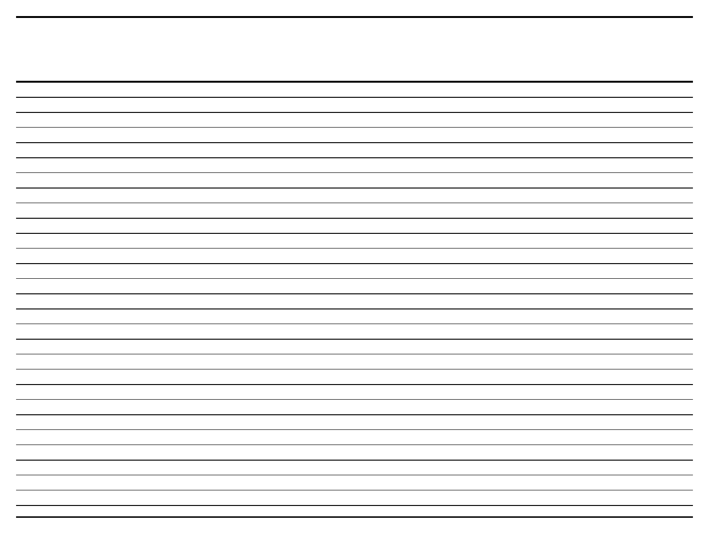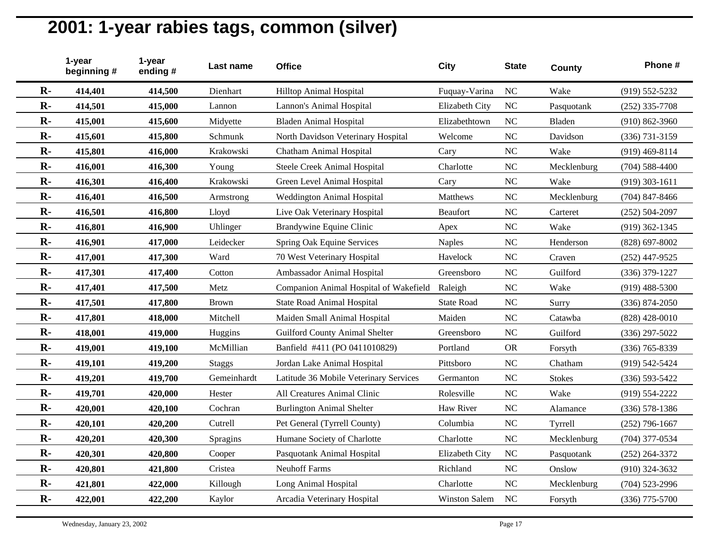|                | 1-year<br>beginning# | 1-year<br>ending# | Last name     | <b>Office</b>                          | <b>City</b>          | <b>State</b> | County        | Phone #            |
|----------------|----------------------|-------------------|---------------|----------------------------------------|----------------------|--------------|---------------|--------------------|
| $\mathbf{R}$ - | 414,401              | 414,500           | Dienhart      | Hilltop Animal Hospital                | Fuquay-Varina        | <b>NC</b>    | Wake          | $(919) 552 - 5232$ |
| $\mathbf{R}$   | 414,501              | 415,000           | Lannon        | Lannon's Animal Hospital               | Elizabeth City       | <b>NC</b>    | Pasquotank    | $(252)$ 335-7708   |
| R-             | 415,001              | 415,600           | Midyette      | <b>Bladen Animal Hospital</b>          | Elizabethtown        | <b>NC</b>    | Bladen        | $(910) 862 - 3960$ |
| R-             | 415,601              | 415,800           | Schmunk       | North Davidson Veterinary Hospital     | Welcome              | NC           | Davidson      | (336) 731-3159     |
| $\mathbf{R}$   | 415,801              | 416,000           | Krakowski     | Chatham Animal Hospital                | Cary                 | NC           | Wake          | $(919)$ 469-8114   |
| R-             | 416,001              | 416,300           | Young         | <b>Steele Creek Animal Hospital</b>    | Charlotte            | <b>NC</b>    | Mecklenburg   | $(704)$ 588-4400   |
| $\mathbf{R}$ - | 416,301              | 416,400           | Krakowski     | Green Level Animal Hospital            | Cary                 | <b>NC</b>    | Wake          | $(919)$ 303-1611   |
| R-             | 416,401              | 416,500           | Armstrong     | Weddington Animal Hospital             | Matthews             | NC           | Mecklenburg   | $(704)$ 847-8466   |
| $\mathbf{R}$ - | 416,501              | 416,800           | Lloyd         | Live Oak Veterinary Hospital           | <b>Beaufort</b>      | NC           | Carteret      | $(252) 504 - 2097$ |
| R-             | 416,801              | 416,900           | Uhlinger      | Brandywine Equine Clinic               | Apex                 | NC           | Wake          | $(919)$ 362-1345   |
| $R -$          | 416,901              | 417,000           | Leidecker     | Spring Oak Equine Services             | <b>Naples</b>        | <b>NC</b>    | Henderson     | $(828) 697 - 8002$ |
| R-             | 417,001              | 417,300           | Ward          | 70 West Veterinary Hospital            | Havelock             | <b>NC</b>    | Craven        | $(252)$ 447-9525   |
| R-             | 417,301              | 417,400           | Cotton        | Ambassador Animal Hospital             | Greensboro           | NC           | Guilford      | $(336)$ 379-1227   |
| R-             | 417,401              | 417,500           | Metz          | Companion Animal Hospital of Wakefield | Raleigh              | <b>NC</b>    | Wake          | $(919)$ 488-5300   |
| $R -$          | 417,501              | 417,800           | <b>Brown</b>  | <b>State Road Animal Hospital</b>      | <b>State Road</b>    | <b>NC</b>    | Surry         | $(336) 874 - 2050$ |
| $\mathbf{R}$ - | 417,801              | 418,000           | Mitchell      | Maiden Small Animal Hospital           | Maiden               | <b>NC</b>    | Catawba       | $(828)$ 428-0010   |
| R-             | 418,001              | 419,000           | Huggins       | <b>Guilford County Animal Shelter</b>  | Greensboro           | NC           | Guilford      | $(336)$ 297-5022   |
| $R -$          | 419,001              | 419,100           | McMillian     | Banfield #411 (PO 0411010829)          | Portland             | <b>OR</b>    | Forsyth       | $(336)$ 765-8339   |
| $R -$          | 419,101              | 419,200           | <b>Staggs</b> | Jordan Lake Animal Hospital            | Pittsboro            | <b>NC</b>    | Chatham       | (919) 542-5424     |
| $\mathbf{R}$   | 419,201              | 419,700           | Gemeinhardt   | Latitude 36 Mobile Veterinary Services | Germanton            | <b>NC</b>    | <b>Stokes</b> | $(336) 593 - 5422$ |
| R-             | 419,701              | 420,000           | Hester        | All Creatures Animal Clinic            | Rolesville           | NC           | Wake          | $(919) 554 - 2222$ |
| $\mathbf{R}$   | 420,001              | 420,100           | Cochran       | <b>Burlington Animal Shelter</b>       | Haw River            | NC           | Alamance      | $(336) 578 - 1386$ |
| $R -$          | 420,101              | 420,200           | Cutrell       | Pet General (Tyrrell County)           | Columbia             | NC           | Tyrrell       | $(252)$ 796-1667   |
| R-             | 420,201              | 420,300           | Spragins      | Humane Society of Charlotte            | Charlotte            | NC           | Mecklenburg   | $(704)$ 377-0534   |
| R-             | 420,301              | 420,800           | Cooper        | Pasquotank Animal Hospital             | Elizabeth City       | NC           | Pasquotank    | $(252)$ 264-3372   |
| $\mathbf{R}$   | 420,801              | 421,800           | Cristea       | <b>Neuhoff Farms</b>                   | Richland             | NC           | Onslow        | $(910)$ 324-3632   |
| R-             | 421,801              | 422,000           | Killough      | Long Animal Hospital                   | Charlotte            | <b>NC</b>    | Mecklenburg   | $(704)$ 523-2996   |
| $\mathbf{R}$ - | 422,001              | 422,200           | Kaylor        | Arcadia Veterinary Hospital            | <b>Winston Salem</b> | NC           | Forsyth       | $(336)$ 775-5700   |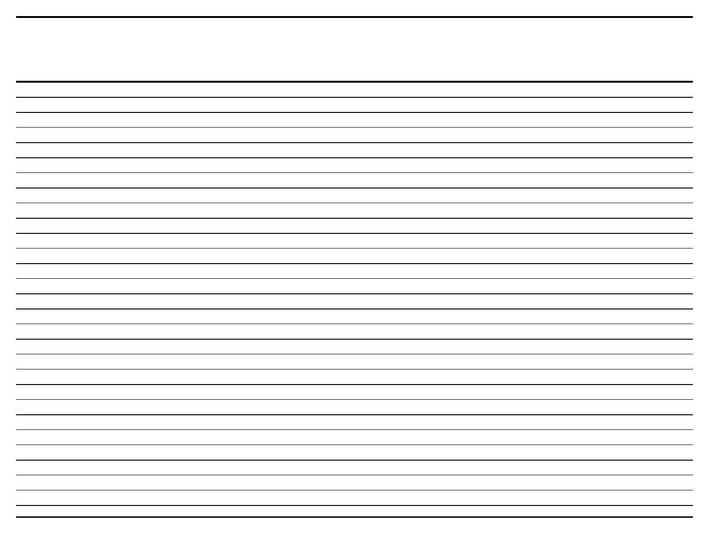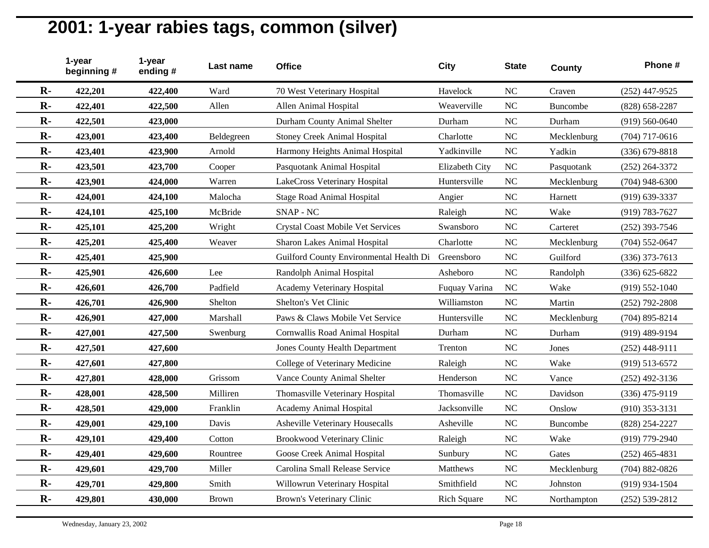|              | 1-year<br>beginning# | 1-year<br>ending# | Last name    | <b>Office</b>                            | City               | <b>State</b>   | County          | Phone #            |
|--------------|----------------------|-------------------|--------------|------------------------------------------|--------------------|----------------|-----------------|--------------------|
| $\mathbf{R}$ | 422,201              | 422,400           | Ward         | 70 West Veterinary Hospital              | Havelock           | <b>NC</b>      | Craven          | $(252)$ 447-9525   |
| $\mathbf{R}$ | 422,401              | 422,500           | Allen        | Allen Animal Hospital                    | Weaverville        | <b>NC</b>      | Buncombe        | $(828) 658 - 2287$ |
| $\mathbf{R}$ | 422,501              | 423,000           |              | Durham County Animal Shelter             | Durham             | <b>NC</b>      | Durham          | $(919) 560 - 0640$ |
| $\mathbf{R}$ | 423,001              | 423,400           | Beldegreen   | <b>Stoney Creek Animal Hospital</b>      | Charlotte          | <b>NC</b>      | Mecklenburg     | $(704)$ 717-0616   |
| $\mathbf{R}$ | 423,401              | 423,900           | Arnold       | Harmony Heights Animal Hospital          | Yadkinville        | NC             | Yadkin          | $(336) 679 - 8818$ |
| $\mathbf{R}$ | 423,501              | 423,700           | Cooper       | Pasquotank Animal Hospital               | Elizabeth City     | NC             | Pasquotank      | $(252)$ 264-3372   |
| $\mathbf{R}$ | 423,901              | 424,000           | Warren       | LakeCross Veterinary Hospital            | Huntersville       | NC             | Mecklenburg     | $(704)$ 948-6300   |
| $\mathbf{R}$ | 424,001              | 424,100           | Malocha      | <b>Stage Road Animal Hospital</b>        | Angier             | NC             | Harnett         | (919) 639-3337     |
| $\mathbf{R}$ | 424,101              | 425,100           | McBride      | SNAP - NC                                | Raleigh            | <b>NC</b>      | Wake            | (919) 783-7627     |
| $\mathbf{R}$ | 425,101              | 425,200           | Wright       | <b>Crystal Coast Mobile Vet Services</b> | Swansboro          | <b>NC</b>      | Carteret        | $(252)$ 393-7546   |
| $\mathbf{R}$ | 425,201              | 425,400           | Weaver       | <b>Sharon Lakes Animal Hospital</b>      | Charlotte          | N <sub>C</sub> | Mecklenburg     | $(704)$ 552-0647   |
| $\mathbf{R}$ | 425,401              | 425,900           |              | Guilford County Environmental Health Di  | Greensboro         | NC             | Guilford        | $(336)$ 373-7613   |
| $R -$        | 425,901              | 426,600           | Lee          | Randolph Animal Hospital                 | Asheboro           | NC             | Randolph        | $(336) 625 - 6822$ |
| $\mathbf{R}$ | 426,601              | 426,700           | Padfield     | Academy Veterinary Hospital              | Fuquay Varina      | <b>NC</b>      | Wake            | $(919) 552 - 1040$ |
| $R -$        | 426,701              | 426,900           | Shelton      | Shelton's Vet Clinic                     | Williamston        | <b>NC</b>      | Martin          | $(252)$ 792-2808   |
| $\mathbf{R}$ | 426,901              | 427,000           | Marshall     | Paws & Claws Mobile Vet Service          | Huntersville       | <b>NC</b>      | Mecklenburg     | $(704)$ 895-8214   |
| $\mathbf{R}$ | 427,001              | 427,500           | Swenburg     | Cornwallis Road Animal Hospital          | Durham             | <b>NC</b>      | Durham          | (919) 489-9194     |
| $\mathbf{R}$ | 427,501              | 427,600           |              | <b>Jones County Health Department</b>    | Trenton            | <b>NC</b>      | Jones           | $(252)$ 448-9111   |
| $R -$        | 427,601              | 427,800           |              | College of Veterinary Medicine           | Raleigh            | NC             | Wake            | (919) 513-6572     |
| $\mathbf{R}$ | 427,801              | 428,000           | Grissom      | Vance County Animal Shelter              | Henderson          | <b>NC</b>      | Vance           | $(252)$ 492-3136   |
| $R -$        | 428,001              | 428,500           | Milliren     | Thomasville Veterinary Hospital          | Thomasville        | NC             | Davidson        | $(336)$ 475-9119   |
| $\mathbf{R}$ | 428,501              | 429,000           | Franklin     | Academy Animal Hospital                  | Jacksonville       | <b>NC</b>      | Onslow          | $(910)$ 353-3131   |
| $\mathbf{R}$ | 429,001              | 429,100           | Davis        | Asheville Veterinary Housecalls          | Asheville          | NC             | <b>Buncombe</b> | (828) 254-2227     |
| $\mathbf{R}$ | 429,101              | 429,400           | Cotton       | Brookwood Veterinary Clinic              | Raleigh            | NC             | Wake            | (919) 779-2940     |
| $R -$        | 429,401              | 429,600           | Rountree     | Goose Creek Animal Hospital              | Sunbury            | NC             | Gates           | $(252)$ 465-4831   |
| $\mathbf{R}$ | 429,601              | 429,700           | Miller       | Carolina Small Release Service           | Matthews           | <b>NC</b>      | Mecklenburg     | $(704)$ 882-0826   |
| $R -$        | 429,701              | 429,800           | Smith        | Willowrun Veterinary Hospital            | Smithfield         | NC             | Johnston        | $(919)$ 934-1504   |
| $\mathbf{R}$ | 429,801              | 430,000           | <b>Brown</b> | Brown's Veterinary Clinic                | <b>Rich Square</b> | NC             | Northampton     | $(252) 539 - 2812$ |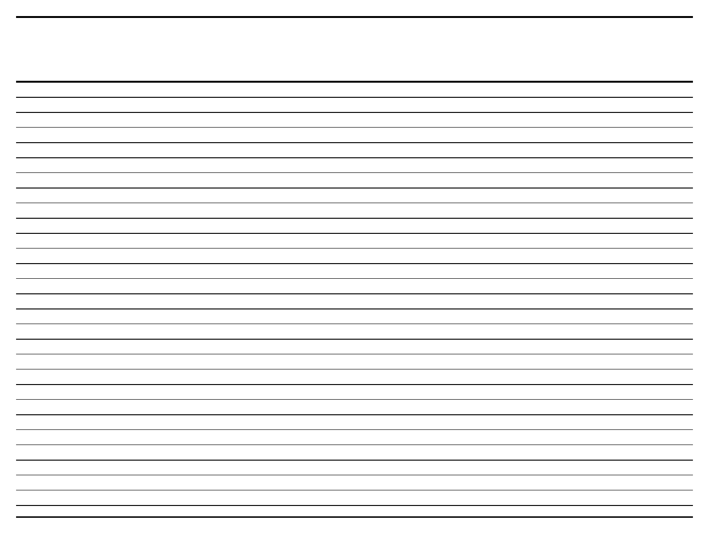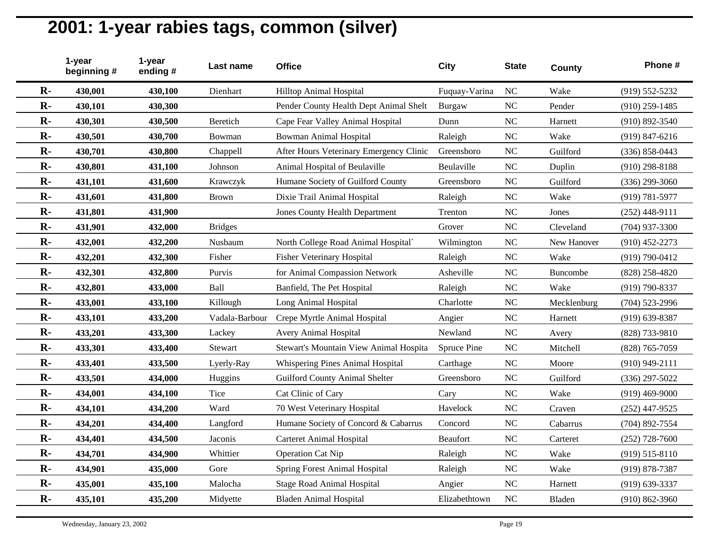|                | 1-year<br>beginning# | 1-year<br>ending# | Last name      | <b>Office</b>                           | <b>City</b>   | <b>State</b> | <b>County</b> | Phone #            |
|----------------|----------------------|-------------------|----------------|-----------------------------------------|---------------|--------------|---------------|--------------------|
| $\mathbf{R}$   | 430,001              | 430,100           | Dienhart       | Hilltop Animal Hospital                 | Fuquay-Varina | <b>NC</b>    | Wake          | $(919) 552 - 5232$ |
| $\mathbf{R}$   | 430,101              | 430,300           |                | Pender County Health Dept Animal Shelt  | <b>Burgaw</b> | <b>NC</b>    | Pender        | $(910)$ 259-1485   |
| R-             | 430,301              | 430,500           | Beretich       | Cape Fear Valley Animal Hospital        | Dunn          | NC           | Harnett       | (910) 892-3540     |
| R-             | 430,501              | 430,700           | Bowman         | <b>Bowman Animal Hospital</b>           | Raleigh       | NC           | Wake          | $(919) 847 - 6216$ |
| $\mathbf{R}$   | 430,701              | 430,800           | Chappell       | After Hours Veterinary Emergency Clinic | Greensboro    | NC           | Guilford      | $(336) 858 - 0443$ |
| R-             | 430,801              | 431,100           | Johnson        | Animal Hospital of Beulaville           | Beulaville    | <b>NC</b>    | Duplin        | $(910)$ 298-8188   |
| $\mathbf{R}$ - | 431,101              | 431,600           | Krawczyk       | Humane Society of Guilford County       | Greensboro    | <b>NC</b>    | Guilford      | $(336)$ 299-3060   |
| R-             | 431,601              | 431,800           | <b>Brown</b>   | Dixie Trail Animal Hospital             | Raleigh       | NC           | Wake          | (919) 781-5977     |
| $\mathbf{R}$ - | 431,801              | 431,900           |                | <b>Jones County Health Department</b>   | Trenton       | NC           | Jones         | $(252)$ 448-9111   |
| R-             | 431,901              | 432,000           | <b>Bridges</b> |                                         | Grover        | <b>NC</b>    | Cleveland     | $(704)$ 937-3300   |
| $\mathbf{R}$   | 432,001              | 432,200           | Nusbaum        | North College Road Animal Hospital      | Wilmington    | <b>NC</b>    | New Hanover   | $(910)$ 452-2273   |
| $\mathbf{R}$   | 432,201              | 432,300           | Fisher         | <b>Fisher Veterinary Hospital</b>       | Raleigh       | <b>NC</b>    | Wake          | (919) 790-0412     |
| R-             | 432,301              | 432,800           | Purvis         | for Animal Compassion Network           | Asheville     | NC           | Buncombe      | $(828)$ 258-4820   |
| R-             | 432,801              | 433,000           | Ball           | Banfield, The Pet Hospital              | Raleigh       | <b>NC</b>    | Wake          | (919) 790-8337     |
| $R -$          | 433,001              | 433,100           | Killough       | Long Animal Hospital                    | Charlotte     | <b>NC</b>    | Mecklenburg   | $(704)$ 523-2996   |
| $\mathbf{R}$ - | 433,101              | 433,200           | Vadala-Barbour | Crepe Myrtle Animal Hospital            | Angier        | <b>NC</b>    | Harnett       | $(919) 639 - 8387$ |
| R-             | 433,201              | 433,300           | Lackey         | Avery Animal Hospital                   | Newland       | NC           | Avery         | (828) 733-9810     |
| $R -$          | 433,301              | 433,400           | Stewart        | Stewart's Mountain View Animal Hospita  | Spruce Pine   | <b>NC</b>    | Mitchell      | (828) 765-7059     |
| $R -$          | 433,401              | 433,500           | Lyerly-Ray     | Whispering Pines Animal Hospital        | Carthage      | NC           | Moore         | $(910)$ 949-2111   |
| $\mathbf{R}$   | 433,501              | 434,000           | Huggins        | Guilford County Animal Shelter          | Greensboro    | <b>NC</b>    | Guilford      | $(336)$ 297-5022   |
| R-             | 434,001              | 434,100           | Tice           | Cat Clinic of Cary                      | Cary          | NC           | Wake          | $(919)$ 469-9000   |
| $\mathbf{R}$   | 434,101              | 434,200           | Ward           | 70 West Veterinary Hospital             | Havelock      | NC           | Craven        | $(252)$ 447-9525   |
| $R -$          | 434,201              | 434,400           | Langford       | Humane Society of Concord & Cabarrus    | Concord       | NC           | Cabarrus      | (704) 892-7554     |
| $\mathbf{R}$   | 434,401              | 434,500           | Jaconis        | <b>Carteret Animal Hospital</b>         | Beaufort      | NC           | Carteret      | $(252)$ 728-7600   |
| R-             | 434,701              | 434,900           | Whittier       | <b>Operation Cat Nip</b>                | Raleigh       | <b>NC</b>    | Wake          | $(919) 515 - 8110$ |
| $\mathbf{R}$   | 434,901              | 435,000           | Gore           | Spring Forest Animal Hospital           | Raleigh       | NC           | Wake          | $(919) 878 - 7387$ |
| R-             | 435,001              | 435,100           | Malocha        | <b>Stage Road Animal Hospital</b>       | Angier        | <b>NC</b>    | Harnett       | $(919) 639 - 3337$ |
| $R -$          | 435,101              | 435,200           | Midyette       | <b>Bladen Animal Hospital</b>           | Elizabethtown | <b>NC</b>    | Bladen        | $(910) 862 - 3960$ |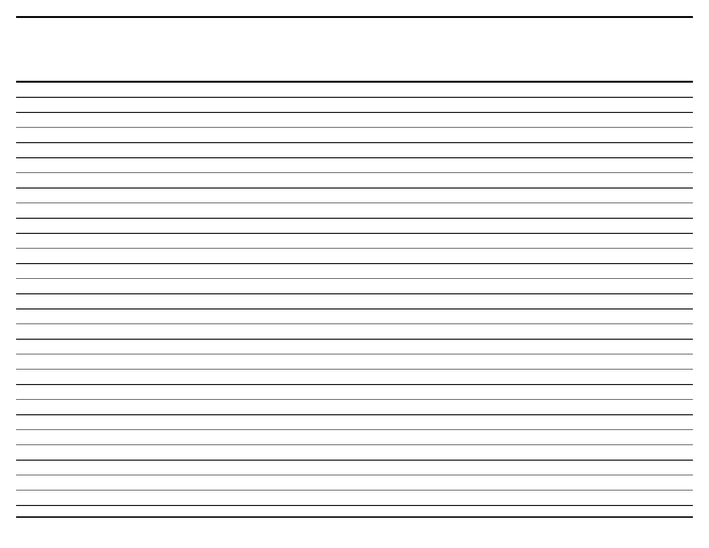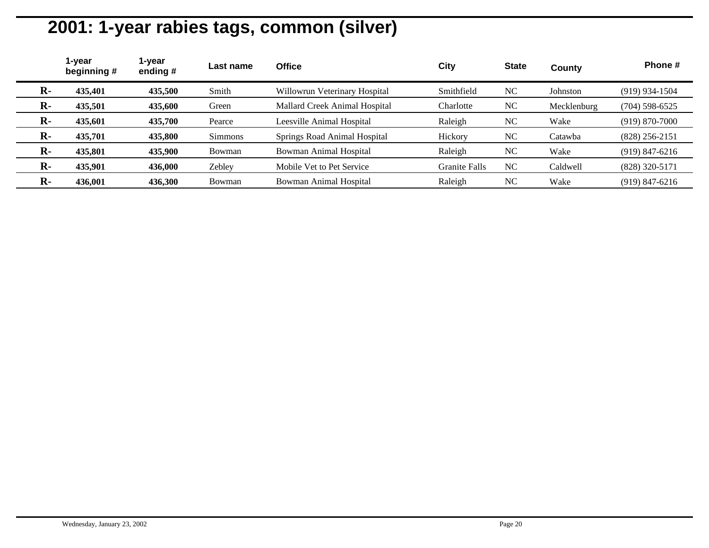|              | 1-year<br>beginning # | 1-year<br>ending $#$ | Last name      | <b>Office</b>                 | <b>City</b>          | <b>State</b> | County      | Phone #          |
|--------------|-----------------------|----------------------|----------------|-------------------------------|----------------------|--------------|-------------|------------------|
| $\mathbf{R}$ | 435,401               | 435,500              | Smith          | Willowrun Veterinary Hospital | Smithfield           | NC           | Johnston    | $(919)$ 934-1504 |
| $\mathbf{R}$ | 435,501               | 435,600              | Green          | Mallard Creek Animal Hospital | Charlotte            | <b>NC</b>    | Mecklenburg | $(704)$ 598-6525 |
| $\mathbf{R}$ | 435,601               | 435,700              | Pearce         | Leesville Animal Hospital     | Raleigh              | NC           | Wake        | $(919)$ 870-7000 |
| $\mathbf{R}$ | 435,701               | 435,800              | <b>Simmons</b> | Springs Road Animal Hospital  | Hickory              | <b>NC</b>    | Catawba     | $(828)$ 256-2151 |
| $\mathbf{R}$ | 435,801               | 435,900              | Bowman         | Bowman Animal Hospital        | Raleigh              | NC           | Wake        | $(919)$ 847-6216 |
| $\mathbf{R}$ | 435,901               | 436,000              | Zebley         | Mobile Vet to Pet Service     | <b>Granite Falls</b> | <b>NC</b>    | Caldwell    | $(828)$ 320-5171 |
| $\mathbf{R}$ | 436,001               | 436,300              | Bowman         | Bowman Animal Hospital        | Raleigh              | NC           | Wake        | $(919)$ 847-6216 |